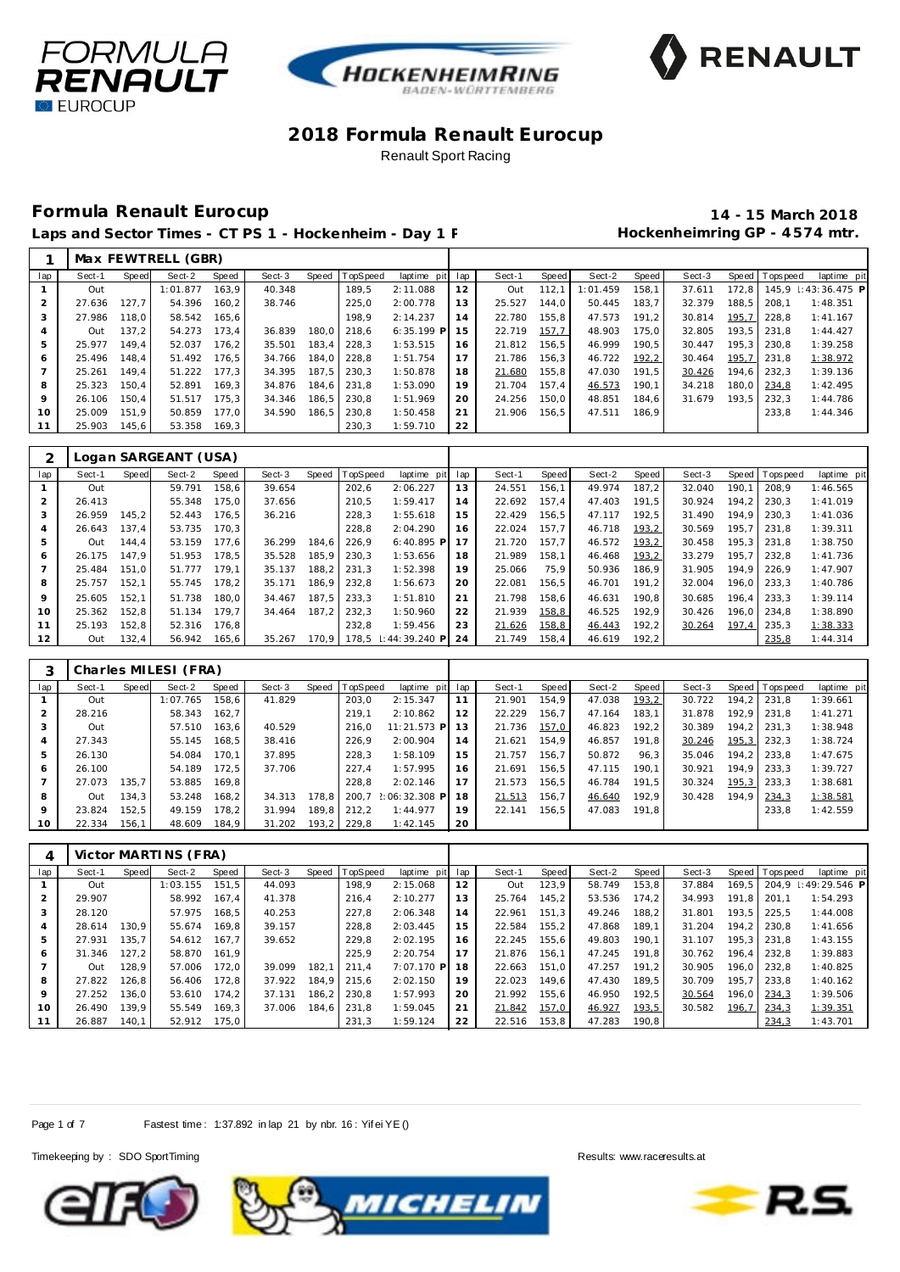





## **Formula Renault Eurocup 14 - 15 March 2018**

Laps and Sector Times - CT PS 1 - Hockenheim - Day 1 F **Manufall Session Hockenheimring GP** - 4574 mtr.

|     |        |       | Max FEWTRELL (GBR) |       |        |       |          |                 |    |        |       |          |       |        |       |                |                           |
|-----|--------|-------|--------------------|-------|--------|-------|----------|-----------------|----|--------|-------|----------|-------|--------|-------|----------------|---------------------------|
| lap | Sect-1 | Speed | Sect-2             | Speed | Sect-3 | Speed | TopSpeed | laptime pit lap |    | Sect-1 | Speed | Sect-2   | Speed | Sect-3 |       | Speed Topspeed | laptime pit               |
|     | Out    |       | 1:01.877           | 163.9 | 40.348 |       | 189.5    | 2:11.088        | 12 | Out    | 112.1 | 1:01.459 | 158.1 | 37.611 |       |                | 172.8 145.9 : 43:36.475 P |
|     | 27.636 | 127.7 | 54.396             | 160.2 | 38.746 |       | 225.0    | 2:00.778        | 13 | 25.527 | 144.0 | 50.445   | 183.7 | 32.379 | 188.5 | 208.1          | 1:48.351                  |
|     | 27.986 | 118.0 | 58.542             | 165.6 |        |       | 198.9    | 2:14.237        | 14 | 22.780 | 155.8 | 47.573   | 191.2 | 30.814 | 195,7 | 228.8          | 1:41.167                  |
|     | Out    | 137.2 | 54.273             | 173.4 | 36.839 | 180.0 | 218.6    | $6:35.199$ P 15 |    | 22.719 | 157,7 | 48.903   | 175.0 | 32.805 |       | $193.5$ 231.8  | 1:44.427                  |
| 5   | 25.977 | 149.4 | 52.037             | 176.2 | 35.501 | 183.4 | 228.3    | 1:53.515        | 16 | 21.812 | 156.5 | 46.999   | 190.5 | 30.447 |       | 195.3 230.8    | 1:39.258                  |
| 6   | 25.496 | 148.4 | 51.492             | 176.5 | 34.766 | 184.0 | 228.8    | 1:51.754        | 17 | 21.786 | 156.3 | 46.722   | 192,2 | 30.464 |       | 195.7 231.8    | 1:38.972                  |
|     | 25.261 | 149.4 | 51.222             | 177.3 | 34.395 | 187.5 | 230.3    | 1:50.878        | 18 | 21.680 | 155.8 | 47.030   | 191.5 | 30.426 |       | 194.6 232.3    | 1:39.136                  |
| 8   | 25.323 | 150.4 | 52.891             | 169.3 | 34.876 | 184.6 | 231.8    | 1:53.090        | 19 | 21.704 | 157.4 | 46.573   | 190.1 | 34.218 |       | 180.0 234.8    | 1:42.495                  |
| 9   | 26.106 | 150.4 | 51.517             | 175.3 | 34.346 | 186.5 | 230.8    | 1:51.969        | 20 | 24.256 | 150.0 | 48.851   | 184.6 | 31.679 | 193.5 | 232.3          | 1:44.786                  |
| 10  | 25.009 | 151.9 | 50.859             | 177.0 | 34.590 | 186.5 | 230.8    | 1:50.458        | 21 | 21.906 | 156.5 | 47.511   | 186.9 |        |       | 233.8          | 1:44.346                  |
| 11  | 25.903 | 145.6 | 53.358             | 169.3 |        |       | 230.3    | 1:59.710        | 22 |        |       |          |       |        |       |                |                           |

|                |        |       | Logan SARGEANT (USA) |       |        |       |          |                     |     |        |       |        |       |        |       |            |             |
|----------------|--------|-------|----------------------|-------|--------|-------|----------|---------------------|-----|--------|-------|--------|-------|--------|-------|------------|-------------|
| lap            | Sect-1 | Speed | Sect-2               | Speed | Sect-3 | Speed | TopSpeed | laptime pit         | lap | Sect-1 | Speed | Sect-2 | Speed | Sect-3 | Speed | T ops peed | laptime pit |
|                | Out    |       | 59.791               | 158.6 | 39.654 |       | 202.6    | 2:06.227            | 13  | 24.551 | 156.1 | 49.974 | 187.2 | 32.040 | 190.1 | 208.9      | 1:46.565    |
| $\overline{2}$ | 26.413 |       | 55.348               | 175.0 | 37.656 |       | 210.5    | 1:59.417            | 14  | 22.692 | 157.4 | 47.403 | 191.5 | 30.924 | 194.2 | 230.3      | 1:41.019    |
| 3              | 26.959 | 145.2 | 52.443               | 176.5 | 36.216 |       | 228.3    | 1:55.618            | 15  | 22.429 | 156.5 | 47.117 | 192.5 | 31.490 | 194.9 | 230.3      | 1:41.036    |
| 4              | 26.643 | 137.4 | 53.735               | 170.3 |        |       | 228.8    | 2:04.290            | 16  | 22.024 | 157.7 | 46.718 | 193,2 | 30.569 | 195.7 | 231.8      | 1:39.311    |
| 5              | Out    | 144.4 | 53.159               | 177.6 | 36.299 | 184.6 | 226.9    | $6:40.895$ P        | 17  | 21.720 | 157.7 | 46.572 | 193,2 | 30.458 | 195.3 | 231.8      | 1:38.750    |
| 6              | 26.175 | 147.9 | 51.953               | 178.5 | 35.528 | 185.9 | 230.3    | 1:53.656            | 18  | 21.989 | 158.1 | 46.468 | 193,2 | 33.279 | 195.7 | 232.8      | 1:41.736    |
|                | 25.484 | 151.0 | 51.777               | 179.1 | 35.137 | 188.2 | 231.3    | 1:52.398            | 19  | 25.066 | 75.9  | 50.936 | 186.9 | 31.905 | 194.9 | 226.9      | 1:47.907    |
| 8              | 25.757 | 152.1 | 55.745               | 178.2 | 35.171 | 186,9 | 232,8    | 1:56.673            | 20  | 22.081 | 156,5 | 46.701 | 191.2 | 32.004 | 196.0 | 233.3      | 1:40.786    |
| 9              | 25.605 | 152.1 | 51.738               | 180.0 | 34.467 | 187.5 | 233.3    | 1:51.810            | 21  | 21.798 | 158.6 | 46.631 | 190.8 | 30.685 | 196.4 | 233.3      | 1:39.114    |
| 10             | 25.362 | 152.8 | 51.134               | 179.7 | 34.464 | 187.2 | 232.3    | 1:50.960            | 22  | 21.939 | 158,8 | 46.525 | 192.9 | 30.426 | 196.0 | 234.8      | 1:38.890    |
| 11             | 25.193 | 152.8 | 52.316               | 176.8 |        |       | 232.8    | 1:59.456            | 23  | 21.626 | 158,8 | 46.443 | 192,2 | 30.264 | 197,4 | 235.3      | 1:38.333    |
| 12             | Out    | 132,4 | 56.942               | 165,6 | 35.267 | 170.9 |          | 178.5 : 44:39.240 P | 24  | 21.749 | 158,4 | 46.619 | 192,2 |        |       | 235,8      | 1:44.314    |

|                 |        |       | Charles MILESI (FRA) |       |        |       |                |                     |     |        |       |        |       |        |       |                |             |
|-----------------|--------|-------|----------------------|-------|--------|-------|----------------|---------------------|-----|--------|-------|--------|-------|--------|-------|----------------|-------------|
| lap             | Sect-1 | Speed | Sect-2               | Speed | Sect-3 |       | Speed TopSpeed | laptime pit         | lap | Sect-1 | Speed | Sect-2 | Speed | Sect-3 |       | Speed Topspeed | laptime pit |
|                 | Out    |       | 1:07.765             | 158.6 | 41.829 |       | 203.0          | 2:15.347            | 11  | 21.901 | 154.9 | 47.038 | 193,2 | 30.722 | 194.2 | 231.8          | 1:39.661    |
| $\overline{2}$  | 28.216 |       | 58.343               | 162.7 |        |       | 219.1          | 2:10.862            | 12  | 22.229 | 156.7 | 47.164 | 183.1 | 31.878 | 192.9 | 231.8          | 1:41.271    |
| 3               | Out    |       | 57.510               | 163.6 | 40.529 |       | 216.0          | 11:21.573 P         | 13  | 21.736 | 157,0 | 46.823 | 192,2 | 30.389 | 194.2 | 231.3          | 1:38.948    |
| $\overline{4}$  | 27.343 |       | 55.145               | 168.5 | 38.416 |       | 226.9          | 2:00.904            | 14  | 21.621 | 154.9 | 46.857 | 191.8 | 30.246 | 195,3 | 232.3          | 1:38.724    |
| 5               | 26.130 |       | 54.084               | 170.1 | 37.895 |       | 228.3          | 1:58.109            | 15  | 21.757 | 156.7 | 50.872 | 96.3  | 35.046 | 194.2 | 233.8          | 1:47.675    |
| 6               | 26.100 |       | 54.189               | 172.5 | 37.706 |       | 227.4          | 1:57.995            | 16  | 21.691 | 156.5 | 47.115 | 190.1 | 30.921 | 194.9 | 233.3          | 1:39.727    |
|                 | 27.073 | 135.7 | 53.885 169.8         |       |        |       | 228.8          | 2:02.146            | 17  | 21.573 | 156.5 | 46.784 | 191.5 | 30.324 | 195,3 | 233.3          | 1:38.681    |
| 8               | Out    | 134.3 | 53.248               | 168.2 | 34.313 | 178.8 |                | 200.7 2:06:32.308 P | 18  | 21.513 | 156.7 | 46.640 | 192.9 | 30.428 | 194.9 | 234,3          | 1:38.581    |
| 9               | 23.824 | 152.5 | 49.159               | 178.2 | 31.994 | 189.8 | 212.2          | 1:44.977            | 19  | 22.141 | 156.5 | 47.083 | 191.8 |        |       | 233.8          | 1:42.559    |
| 10 <sup>°</sup> | 22.334 | 156.1 | 48.609               | 184.9 | 31.202 |       | 193,2 229,8    | 1:42.145            | 20  |        |       |        |       |        |       |                |             |

| 4   |        |       | Victor MARTINS (FRA) |       |        |       |                |             |     |        |       |        |        |        |       |                |                     |
|-----|--------|-------|----------------------|-------|--------|-------|----------------|-------------|-----|--------|-------|--------|--------|--------|-------|----------------|---------------------|
| lap | Sect-1 | Speed | Sect-2               | Speed | Sect-3 |       | Speed TopSpeed | laptime pit | lap | Sect-1 | Speed | Sect-2 | Speed  | Sect-3 |       | Speed Topspeed | laptime pit         |
|     | Out    |       | 1:03.155             | 151.5 | 44.093 |       | 198.9          | 2:15.068    | 12  | Out    | 123,9 | 58.749 | 153,8  | 37.884 | 169.5 |                | 204.9 : 49:29.546 P |
|     | 29.907 |       | 58.992               | 167.4 | 41.378 |       | 216,4          | 2:10.277    | 13  | 25.764 | 145.2 | 53.536 | 174.2  | 34.993 | 191.8 | 201.1          | 1:54.293            |
| 3   | 28.120 |       | 57.975               | 168.5 | 40.253 |       | 227.8          | 2:06.348    | 14  | 22.961 | 151.3 | 49.246 | 188.2  | 31.801 | 193.5 | 225.5          | 1:44.008            |
| 4   | 28.614 | 130.9 | 55.674               | 169.8 | 39.157 |       | 228,8          | 2:03.445    | 15  | 22.584 | 155.2 | 47.868 | 189.1  | 31.204 | 194.2 | 230.8          | 1:41.656            |
| 5   | 27.931 | 135.7 | 54.612               | 167.7 | 39.652 |       | 229.8          | 2:02.195    | 16  | 22.245 | 155.6 | 49.803 | 190.1  | 31.107 | 195.3 | 231.8          | 1:43.155            |
| 6   | 31.346 | 127.2 | 58.870               | 161.9 |        |       | 225.9          | 2:20.754    | 17  | 21.876 | 156.1 | 47.245 | 191.8  | 30.762 | 196.4 | 232.8          | 1:39.883            |
|     | Out    | 128.9 | 57.006               | 172.0 | 39.099 | 182.1 | 211.4          | 7:07.170 P  | 18  | 22.663 | 151.0 | 47.257 | 191.2  | 30.905 | 196.0 | 232.8          | 1:40.825            |
| 8   | 27.822 | 126.8 | 56.406               | 172.8 | 37.922 | 184.9 | 215.6          | 2:02.150    | 19  | 22.023 | 149.6 | 47.430 | 189.5  | 30.709 | 195.7 | 233.8          | 1:40.162            |
| 9   | 27.252 | 136.0 | 53.610               | 174.2 | 37.131 | 186.2 | 230.8          | 1:57.993    | 20  | 21.992 | 155,6 | 46.950 | 192.5  | 30.564 | 196.0 | 234,3          | 1:39.506            |
| 10  | 26.490 | 139.9 | 55.549               | 169,3 | 37.006 | 184.6 | 231.8          | 1:59.045    | 21  | 21.842 | 157,0 | 46.927 | 193,5  | 30.582 | 196,7 | 234,3          | 1:39.351            |
|     | 26.887 | 140,1 | 52.912 175,0         |       |        |       | 231,3          | 1:59.124    | 22  | 22.516 | 153,8 | 47.283 | 190, 8 |        |       | 234,3          | 1:43.701            |

Page 1 of 7 Fastest time: 1:37.892 in lap 21 by nbr. 16: Yif ei YE ()

Timekeeping by : SDO SportTiming Results: www.raceresults.at





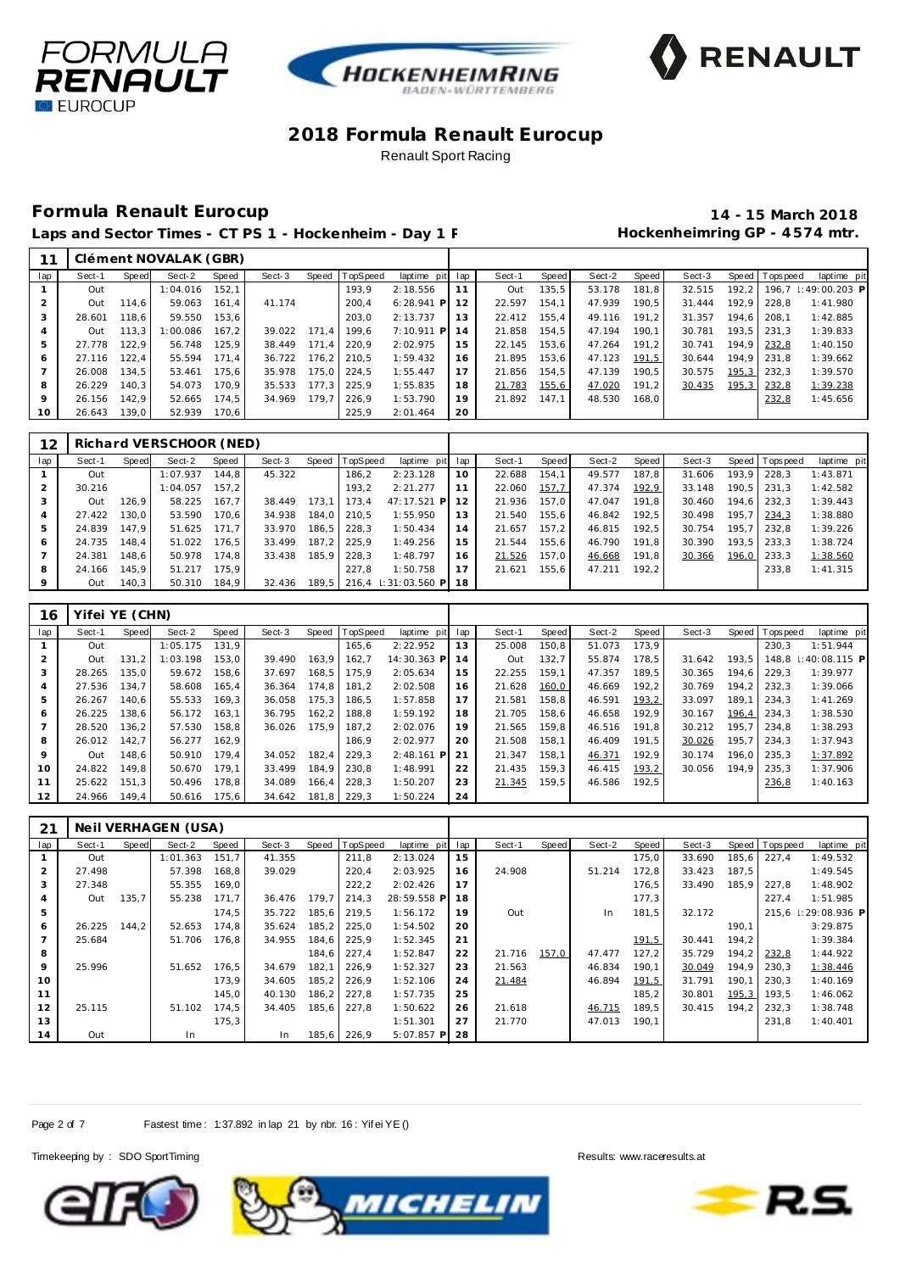





## **Formula Renault Eurocup 14 - 15 March 2018**

Laps and Sector Times - CT PS 1 - Hockenheim - Day 1 F **Manufall Session Hockenheimring GP** - 4574 mtr.

|                 |        |       | Clément NOVALAK (GBR) |       |        |       |               |                 |    |        |       |        |       |        |       |                 |                               |
|-----------------|--------|-------|-----------------------|-------|--------|-------|---------------|-----------------|----|--------|-------|--------|-------|--------|-------|-----------------|-------------------------------|
| lap             | Sect-1 | Speed | Sect-2                | Speed | Sect-3 | Speed | TopSpeed      | laptime pit lap |    | Sect-1 | Speed | Sect-2 | Speed | Sect-3 |       | Speed Tops peed | laptime pit                   |
|                 | Out    |       | 1:04.016              | 152.1 |        |       | 193.9         | 2:18.556        |    | Out    | 135.5 | 53.178 | 181.8 | 32.515 |       |                 | 192.2   196.7   : 49:00.203 P |
|                 | Out    | 114.6 | 59.063                | 161.4 | 41.174 |       | 200.4         | $6:28.941$ P    | 12 | 22.597 | 154.1 | 47.939 | 190.5 | 31.444 | 192.9 | 228.8           | 1:41.980                      |
|                 | 28.601 | 118.6 | 59.550                | 153.6 |        |       | 203.0         | 2:13.737        | 13 | 22.412 | 155.4 | 49.116 | 191.2 | 31.357 | 194.6 | 208.1           | 1:42.885                      |
|                 | Out    | 113.3 | 1:00.086              | 167.2 | 39.022 | 171.4 | 199.6         | 7:10.911 P      | 14 | 21.858 | 154.5 | 47.194 | 190.1 | 30.781 |       | $193.5$ 231.3   | 1:39.833                      |
|                 | 27.778 | 122.9 | 56.748                | 125.9 | 38.449 | 171.4 | 220.9         | 2:02.975        | 15 | 22.145 | 153.6 | 47.264 | 191.2 | 30.741 |       | 194,9 232,8     | 1:40.150                      |
| 6               | 27.116 | 122.4 | 55.594                | 171.4 | 36.722 |       | 176.2 210.5   | 1:59.432        | 16 | 21.895 | 153.6 | 47.123 | 191,5 | 30.644 |       | 194.9 231.8     | 1:39.662                      |
|                 | 26.008 | 134.5 | 53.461                | 175.6 | 35.978 |       | 175.0 224.5   | 1:55.447        | 17 | 21.856 | 154.5 | 47.139 | 190.5 | 30.575 | 195,3 | 232.3           | 1:39.570                      |
| 8               | 26.229 | 140.3 | 54.073                | 170.9 | 35.533 |       | 177.3 225.9   | 1:55.835        | 18 | 21.783 | 155,6 | 47.020 | 191,2 | 30.435 | 195,3 | 232,8           | 1:39.238                      |
| 9               | 26.156 | 142.9 | 52.665                | 174.5 | 34.969 |       | $179.7$ 226.9 | 1:53.790        | 19 | 21.892 | 147.1 | 48.530 | 168.0 |        |       | 232,8           | 1:45.656                      |
| 10 <sup>°</sup> | 26.643 | 139.0 | 52.939                | 170.6 |        |       | 225.9         | 2:01.464        | 20 |        |       |        |       |        |       |                 |                               |

| 12             |        |       | Richard VERSCHOOR (NED) |       |        |       |          |                              |    |        |       |        |       |        |       |                 |             |
|----------------|--------|-------|-------------------------|-------|--------|-------|----------|------------------------------|----|--------|-------|--------|-------|--------|-------|-----------------|-------------|
| lap            | Sect-1 | Speed | Sect-2                  | Speed | Sect-3 | Speed | TopSpeed | laptime pit lap              |    | Sect-1 | Speed | Sect-2 | Speed | Sect-3 |       | Speed Tops peed | laptime pit |
|                | Out    |       | 1:07.937                | 144.8 | 45.322 |       | 186.2    | 2:23.128                     | 10 | 22.688 | 154.1 | 49.577 | 187.8 | 31.606 |       | 193.9 228.3     | 1:43.871    |
| $\overline{2}$ | 30.216 |       | 1:04.057                | 157.2 |        |       | 193.2    | 2:21.277                     |    | 22.060 | 157,7 | 47.374 | 192,9 | 33.148 |       | $190.5$   231.3 | 1:42.582    |
| 3              | Out    | 126.9 | 58.225                  | 167.7 | 38.449 | 173.1 | 173.4    | 47:17.521 P                  | 12 | 21.936 | 157.0 | 47.047 | 191.8 | 30.460 |       | 194,6 232,3     | 1:39.443    |
| 4              | 27.422 | 130.0 | 53.590                  | 170.6 | 34.938 | 184.0 | 210.5    | 1:55.950                     | 13 | 21.540 | 155.6 | 46.842 | 192.5 | 30.498 | 195.7 | $1 \mid 234,3$  | 1:38.880    |
| 5              | 24.839 | 147.9 | 51.625                  | 171.7 | 33.970 | 186.5 | 228.3    | 1:50.434                     | 14 | 21.657 | 157.2 | 46.815 | 192.5 | 30.754 |       | 195.7 232.8     | 1:39.226    |
| 6              | 24.735 | 148.4 | 51.022                  | 176.5 | 33.499 | 187.2 | 225.9    | 1:49.256                     | 15 | 21.544 | 155.6 | 46.790 | 191.8 | 30.390 |       | 193,5 233,3     | 1:38.724    |
|                | 24.381 | 148.6 | 50.978                  | 174.8 | 33.438 | 185.9 | 228.3    | 1:48.797                     | 16 | 21.526 | 157.0 | 46.668 | 191.8 | 30.366 |       | 196,0 233,3     | 1:38.560    |
| 8              | 24.166 | 145.9 | 51.217                  | 175.9 |        |       | 227.8    | 1:50.758                     | 17 | 21.621 | 155,6 | 47.211 | 192.2 |        |       | 233.8           | 1:41.315    |
| 9              | Out    | 140.3 | 50.310                  | 184.9 | 32.436 |       |          | 189,5 216,4 1:31:03.560 P 18 |    |        |       |        |       |        |       |                 |             |

| 16            | Yifei YE (CHN) |       |              |       |        |       |                |              |     |        |       |        |       |        |       |                 |                       |
|---------------|----------------|-------|--------------|-------|--------|-------|----------------|--------------|-----|--------|-------|--------|-------|--------|-------|-----------------|-----------------------|
| lap           | Sect-1         | Speed | Sect-2       | Speed | Sect-3 |       | Speed TopSpeed | laptime pit  | lap | Sect-1 | Speed | Sect-2 | Speed | Sect-3 |       | Speed Topspeed  | laptime pit           |
|               | Out            |       | 1:05.175     | 131.9 |        |       | 165.6          | 2:22.952     | 13  | 25.008 | 150.8 | 51.073 | 173.9 |        |       | 230.3           | 1:51.944              |
| $\mathcal{P}$ | Out            | 131.2 | 1:03.198     | 153.0 | 39.490 | 163.9 | 162.7          | 14:30.363 P  | 14  | Out    | 132.7 | 55.874 | 178.5 | 31.642 | 193.5 | 148.8           | $\mid$ : 40: 08.115 P |
| 3             | 28.265         | 135.0 | 59.672       | 158.6 | 37.697 | 168.5 | 175.9          | 2:05.634     | 15  | 22.255 | 159.1 | 47.357 | 189.5 | 30.365 | 194.6 | 229.3           | 1:39.977              |
| 4             | 27.536         | 134.7 | 58.608       | 165.4 | 36.364 | 174.8 | 181.2          | 2:02.508     | 16  | 21.628 | 160,0 | 46.669 | 192,2 | 30.769 |       | $194.2$   232.3 | 1:39.066              |
| 5             | 26.267         | 140.6 | 55.533       | 169.3 | 36.058 | 175.3 | 186.5          | 1:57.858     | 17  | 21.581 | 158.8 | 46.591 | 193,2 | 33.097 | 189.1 | 1234.3          | 1:41.269              |
| 6             | 26.225         | 138,6 | 56.172       | 163.1 | 36.795 | 162.2 | 188.8          | 1:59.192     | 18  | 21.705 | 158.6 | 46.658 | 192.9 | 30.167 | 196,4 | 234.3           | 1:38.530              |
|               | 28.520         | 136.2 | 57.530       | 158.8 | 36.026 | 175.9 | 187.2          | 2:02.076     | 19  | 21.565 | 159.8 | 46.516 | 191.8 | 30.212 | 195.7 | 234.8           | 1:38.293              |
| 8             | 26.012         | 142.7 | 56.277       | 162,9 |        |       | 186.9          | 2:02.977     | 20  | 21.508 | 158,1 | 46.409 | 191,5 | 30.026 | 195,7 | 1234.3          | 1:37.943              |
| 9             | Out            | 148.6 | 50.910       | 179.4 | 34.052 | 182.4 | 229.3          | $2:48.161$ P | 21  | 21.347 | 158.1 | 46.371 | 192.9 | 30.174 |       | 196.0 235.3     | 1:37.892              |
| 10            | 24.822         | 149.8 | 50.670       | 179.1 | 33.499 | 184.9 | 230.8          | 1:48.991     | 22  | 21.435 | 159.3 | 46.415 | 193,2 | 30.056 | 194.9 | 235.3           | 1:37.906              |
| 11            | 25.622         | 151.3 | 50.496       | 178.8 | 34.089 | 166.4 | 228.3          | 1:50.207     | 23  | 21.345 | 159.5 | 46.586 | 192.5 |        |       | 236,8           | 1:40.163              |
| 12            | 24.966         | 149.4 | 50.616 175.6 |       | 34.642 |       | 181.8 229.3    | 1:50.224     | 24  |        |       |        |       |        |       |                 |                       |

| 21  |        |       | Neil VERHAGEN (USA) |       |        |        |             |              |     |        |       |        |       |        |       |                |                     |
|-----|--------|-------|---------------------|-------|--------|--------|-------------|--------------|-----|--------|-------|--------|-------|--------|-------|----------------|---------------------|
| lap | Sect-1 | Speed | Sect-2              | Speed | Sect-3 | Speed  | TopSpeed    | laptime pit  | lap | Sect-1 | Speed | Sect-2 | Speed | Sect-3 |       | Speed Topspeed | laptime pit         |
|     | Out    |       | 1:01.363            | 151,7 | 41.355 |        | 211,8       | 2:13.024     | 15  |        |       |        | 175,0 | 33.690 | 185,6 | 227,4          | 1:49.532            |
| 2   | 27.498 |       | 57.398              | 168,8 | 39.029 |        | 220,4       | 2:03.925     | 16  | 24.908 |       | 51.214 | 172.8 | 33.423 | 187,5 |                | 1:49.545            |
| 3   | 27.348 |       | 55.355              | 169.0 |        |        | 222,2       | 2:02.426     | 17  |        |       |        | 176,5 | 33.490 | 185,9 | 227,8          | 1:48.902            |
| 4   | Out    | 135,7 | 55.238              | 171.7 | 36.476 | 179,7  | 214,3       | 28:59.558 P  | 18  |        |       |        | 177,3 |        |       | 227,4          | 1:51.985            |
| 5   |        |       |                     | 174,5 | 35.722 | 185,6  | 219,5       | 1:56.172     | 19  | Out    |       | In.    | 181,5 | 32.172 |       |                | 215,6 1:29:08.936 P |
| 6   | 26.225 | 144.2 | 52.653              | 174.8 | 35.624 | 185, 2 | 225,0       | 1:54.502     | 20  |        |       |        |       |        | 190,1 |                | 3:29.875            |
|     | 25.684 |       | 51.706              | 176,8 | 34.955 | 184,6  | 225,9       | 1:52.345     | 21  |        |       |        | 191,5 | 30.441 | 194,2 |                | 1:39.384            |
| 8   |        |       |                     |       |        |        | 184,6 227,4 | 1:52.847     | 22  | 21.716 | 157,0 | 47.477 | 127,2 | 35.729 | 194,2 | 232,8          | 1:44.922            |
| 9   | 25.996 |       | 51.652              | 176,5 | 34.679 | 182,1  | 226,9       | 1:52.327     | 23  | 21.563 |       | 46.834 | 190,1 | 30.049 | 194,9 | 230,3          | 1:38.446            |
| 10  |        |       |                     | 173.9 | 34.605 | 185,2  | 226,9       | 1:52.106     | 24  | 21.484 |       | 46.894 | 191,5 | 31.791 | 190.1 | 230,3          | 1:40.169            |
| 11  |        |       |                     | 145.0 | 40.130 | 186, 2 | 227,8       | 1:57.735     | 25  |        |       |        | 185,2 | 30.801 | 195,3 | 193.5          | 1:46.062            |
| 12  | 25.115 |       | 51.102              | 174,5 | 34.405 | 185,6  | 227,8       | 1:50.622     | 26  | 21.618 |       | 46.715 | 189,5 | 30.415 | 194.2 | 232,3          | 1:38.748            |
| 13  |        |       |                     | 175,3 |        |        |             | 1:51.301     | 27  | 21.770 |       | 47.013 | 190,1 |        |       | 231,8          | 1:40.401            |
| 14  | Out    |       | In                  |       | In.    | 185,6  | 226,9       | $5:07.857$ P | 28  |        |       |        |       |        |       |                |                     |

Page 2 of 7 Fastest time: 1:37.892 in lap 21 by nbr. 16: Yif ei YE ()





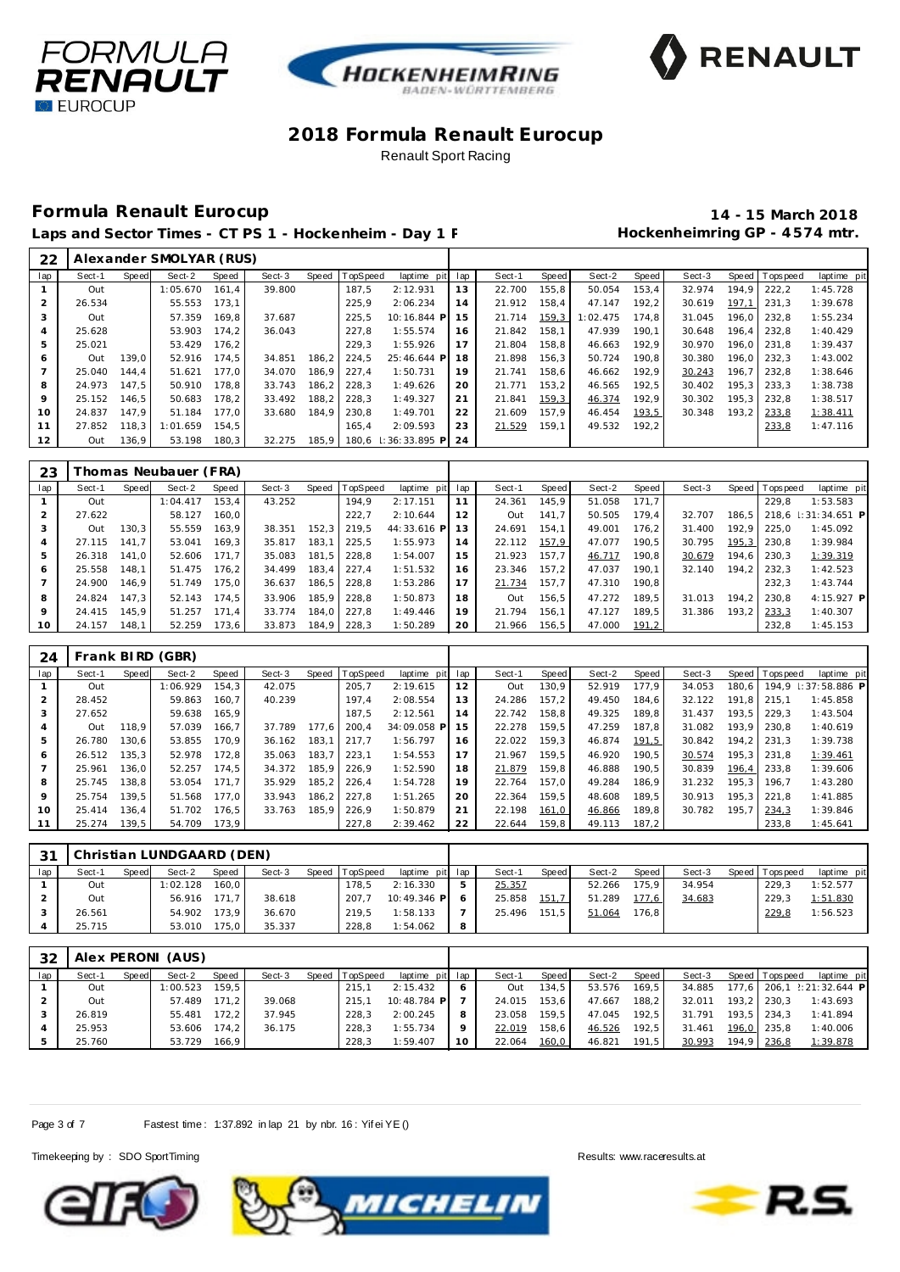





## **Formula Renault Eurocup 14 - 15 March 2018**

Laps and Sector Times - CT PS 1 - Hockenheim - Day 1 F **Manufall Session Hockenheimring GP** - 4574 mtr.

| 22             |        |       | Alexander SMOLYAR (RUS) |       |        |       |          |                     |       |        |       |          |       |        |       |                |             |
|----------------|--------|-------|-------------------------|-------|--------|-------|----------|---------------------|-------|--------|-------|----------|-------|--------|-------|----------------|-------------|
| lap            | Sect-1 | Speed | Sect-2                  | Speed | Sect-3 | Speed | TopSpeed | laptime pit         | lap   | Sect-1 | Speed | Sect-2   | Speed | Sect-3 |       | Speed Topspeed | laptime pit |
|                | Out    |       | 1:05.670                | 161.4 | 39.800 |       | 187.5    | 2:12.931            | 13    | 22.700 | 155,8 | 50.054   | 153,4 | 32.974 | 194.9 | 222.2          | 1:45.728    |
|                | 26.534 |       | 55.553                  | 173.1 |        |       | 225.9    | 2:06.234            | 14    | 21.912 | 158.4 | 47.147   | 192,2 | 30.619 | 197.1 | 231.3          | 1:39.678    |
| 3              | Out    |       | 57.359                  | 169.8 | 37.687 |       | 225.5    | 10:16.844 P         | 15    | 21.714 | 159,3 | 1:02.475 | 174.8 | 31.045 | 196.0 | 232.8          | 1:55.234    |
| $\overline{a}$ | 25.628 |       | 53.903                  | 174.2 | 36.043 |       | 227.8    | 1:55.574            | 16    | 21.842 | 158.1 | 47.939   | 190.1 | 30.648 | 196.4 | 232.8          | 1:40.429    |
| 5              | 25.021 |       | 53.429                  | 176,2 |        |       | 229.3    | 1:55.926            | 17    | 21.804 | 158.8 | 46.663   | 192.9 | 30.970 | 196.0 | 231.8          | 1:39.437    |
| 6              | Out    | 139.0 | 52.916                  | 174.5 | 34.851 | 186,2 | 224.5    | 25:46.644 P         | 18    | 21.898 | 156.3 | 50.724   | 190.8 | 30.380 | 196.0 | 232.3          | 1:43.002    |
|                | 25.040 | 144.4 | 51.621                  | 177.0 | 34.070 | 186.9 | 227.4    | 1:50.731            | 19    | 21.741 | 158.6 | 46.662   | 192.9 | 30.243 | 196.7 | 232.8          | 1:38.646    |
| 8              | 24.973 | 147.5 | 50.910                  | 178.8 | 33.743 | 186.2 | 228.3    | 1:49.626            | 20    | 21.771 | 153.2 | 46.565   | 192.5 | 30.402 | 195.3 | 233.3          | 1:38.738    |
| 9              | 25.152 | 146.5 | 50.683                  | 178.2 | 33.492 | 188,2 | 228.3    | 1:49.327            | 21    | 21.841 | 159,3 | 46.374   | 192.9 | 30.302 | 195.3 | 232.8          | 1:38.517    |
| 10             | 24.837 | 147.9 | 51.184                  | 177.0 | 33.680 | 184.9 | 230.8    | 1:49.701            | 22    | 21.609 | 157.9 | 46.454   | 193,5 | 30.348 | 193.2 | 233,8          | 1:38.411    |
| 11             | 27.852 | 118.3 | 1:01.659                | 154.5 |        |       | 165.4    | 2:09.593            | 23    | 21.529 | 159.1 | 49.532   | 192.2 |        |       | 233,8          | 1:47.116    |
| 12             | Out    | 136.9 | 53.198                  | 180,3 | 32.275 | 185.9 |          | 180.6 : 36:33.895 P | $-24$ |        |       |          |       |        |       |                |             |

| 23             |        |       | Thomas Neubauer (FRA) |       |        |       |          |                 |    |        |       |        |       |        |         |            |                     |
|----------------|--------|-------|-----------------------|-------|--------|-------|----------|-----------------|----|--------|-------|--------|-------|--------|---------|------------|---------------------|
| lap            | Sect-1 | Speed | Sect-2                | Speed | Sect-3 | Speed | TopSpeed | laptime pit lap |    | Sect-1 | Speed | Sect-2 | Speed | Sect-3 | Speed I | T ops peed | laptime pit         |
|                | Out    |       | 1:04.417              | 153.4 | 43.252 |       | 194.9    | 2:17.151        |    | 24.361 | 145.9 | 51.058 | 171.7 |        |         | 229.8      | 1:53.583            |
|                | 27.622 |       | 58.127                | 160.0 |        |       | 222.7    | 2:10.644        | 12 | Out    | 141.7 | 50.505 | 179.4 | 32.707 | 186.5   |            | 218.6 : 31:34.651 P |
|                | Out    | 130.3 | 55.559                | 163.9 | 38.351 | 152.3 | 219.5    | 44:33.616 P     | 13 | 24.691 | 154.1 | 49.001 | 176.2 | 31.400 | 192.9   | 225.0      | 1:45.092            |
| $\overline{A}$ | 27.115 | 141.7 | 53.041                | 169.3 | 35.817 | 183.1 | 225.5    | 1:55.973        | 14 | 22.112 | 157,9 | 47.077 | 190.5 | 30.795 | 195,3   | 230.8      | 1:39.984            |
| 5              | 26.318 | 141.0 | 52.606                | 171.7 | 35.083 | 181.5 | 228.8    | 1:54.007        | 15 | 21.923 | 157.7 | 46.717 | 190.8 | 30.679 | 194.6   | 230.3      | 1:39.319            |
| 6              | 25.558 | 148.1 | 51.475                | 176.2 | 34.499 | 183.4 | 227.4    | 1:51.532        | 16 | 23.346 | 157.2 | 47.037 | 190.1 | 32.140 | 194,2   | 232.3      | 1:42.523            |
|                | 24.900 | 146.9 | 51.749                | 175.0 | 36.637 | 186.5 | 228.8    | 1:53.286        | 17 | 21.734 | 157.7 | 47.310 | 190.8 |        |         | 232.3      | 1:43.744            |
| 8              | 24.824 | 147.3 | 52.143                | 174.5 | 33.906 | 185.9 | 228.8    | 1:50.873        | 18 | Out    | 156.5 | 47.272 | 189.5 | 31.013 | 194.2   | 230.8      | $4:15.927$ P        |
| 9              | 24.415 | 145.9 | 51.257                | 171.4 | 33.774 | 184.0 | 227.8    | 1:49.446        | 19 | 21.794 | 156.1 | 47.127 | 189,5 | 31.386 | 193.2   | 233,3      | 1:40.307            |
| 10             | 24.157 | 148.1 | 52.259                | 173.6 | 33.873 | 184.9 | 228.3    | 1:50.289        | 20 | 21.966 | 156.5 | 47.000 | 191,2 |        |         | 232.8      | 1:45.153            |

| 24              |        |       | Frank BIRD (GBR) |       |        |       |                |             |     |        |       |        |       |        |       |                |                     |
|-----------------|--------|-------|------------------|-------|--------|-------|----------------|-------------|-----|--------|-------|--------|-------|--------|-------|----------------|---------------------|
| lap             | Sect-1 | Speed | Sect-2           | Speed | Sect-3 |       | Speed TopSpeed | laptime pit | lap | Sect-1 | Speed | Sect-2 | Speed | Sect-3 |       | Speed Topspeed | laptime pit         |
|                 | Out    |       | 1:06.929         | 154.3 | 42.075 |       | 205.7          | 2:19.615    | 12  | Out    | 130.9 | 52.919 | 177.9 | 34.053 | 180.6 |                | 194.9 : 37:58.886 P |
|                 | 28.452 |       | 59.863           | 160.7 | 40.239 |       | 197.4          | 2:08.554    | 13  | 24.286 | 157.2 | 49.450 | 184.6 | 32.122 | 191.8 | 215.1          | 1:45.858            |
| 3               | 27.652 |       | 59.638           | 165.9 |        |       | 187.5          | 2:12.561    | 14  | 22.742 | 158.8 | 49.325 | 189.8 | 31.437 | 193.5 | 229.3          | 1:43.504            |
| 4               | Out    | 118.9 | 57.039           | 166.7 | 37.789 | 177.6 | 200.4          | 34:09.058 P | 15  | 22.278 | 159.5 | 47.259 | 187.8 | 31.082 | 193.9 | 230.8          | 1:40.619            |
| 5               | 26.780 | 130.6 | 53.855           | 170.9 | 36.162 | 183,1 | 217.7          | 1:56.797    | 16  | 22.022 | 159.3 | 46.874 | 191,5 | 30.842 | 194.2 | 231.3          | 1:39.738            |
| 6               | 26.512 | 135.3 | 52.978           | 172.8 | 35.063 | 183.7 | 223.1          | 1:54.553    | 17  | 21.967 | 159.5 | 46.920 | 190.5 | 30.574 | 195.3 | 231.8          | 1:39.461            |
|                 | 25.961 | 136.0 | 52.257           | 174.5 | 34.372 | 185,9 | 226.9          | 1:52.590    | 18  | 21.879 | 159.8 | 46.888 | 190.5 | 30.839 | 196.4 | 233.8          | 1:39.606            |
| 8               | 25.745 | 138.8 | 53.054           | 171.7 | 35.929 | 185.2 | 226.4          | 1:54.728    | 19  | 22.764 | 157.0 | 49.284 | 186.9 | 31.232 | 195.3 | 196.7          | 1:43.280            |
| 9               | 25.754 | 139.5 | 51.568           | 177.0 | 33.943 | 186,2 | 227.8          | 1:51.265    | 20  | 22.364 | 159.5 | 48.608 | 189.5 | 30.913 | 195.3 | 221.8          | 1:41.885            |
| 10 <sup>°</sup> | 25.414 | 136.4 | 51.702           | 176.5 | 33.763 | 185,9 | 226.9          | 1:50.879    | 21  | 22.198 | 161,0 | 46.866 | 189,8 | 30.782 | 195,7 | 234,3          | 1:39.846            |
| 11              | 25.274 | 139.5 | 54.709           | 173.9 |        |       | 227.8          | 2:39.462    | 22  | 22.644 | 159.8 | 49.113 | 187.2 |        |       | 233.8          | 1:45.641            |

| 31  |        |       | Christian LUNDGAARD (DEN) |              |        |                |                 |   |              |       |        |       |        |                 |             |
|-----|--------|-------|---------------------------|--------------|--------|----------------|-----------------|---|--------------|-------|--------|-------|--------|-----------------|-------------|
| lap | Sect-1 | Speed | Sect-2                    | Speed        | Sect-3 | Speed TopSpeed | laptime pit lap |   | Sect-1       | Speed | Sect-2 | Speed | Sect-3 | Speed Tops peed | laptime pit |
|     | Out    |       | 1:02.128                  | 160.0        |        | 178.5          | 2:16.330        |   | 25.357       |       | 52.266 | 175.9 | 34.954 | 229.3           | 1:52.577    |
|     | Out    |       |                           | 56.916 171.7 | 38.618 | 207.7          | 10:49.346 P     |   | 25.858       | 151,7 | 51.289 | 177.6 | 34.683 | 229.3           | 1:51.830    |
|     | 26.561 |       | 54.902                    | 173.9        | 36.670 | 219.5          | 1:58.133        |   | 25.496 151.5 |       | 51.064 | 176.8 |        | 229,8           | 1:56.523    |
|     | 25.715 |       | 53.010                    | 175.0        | 35.337 | 228.8          | 1:54.062        | 8 |              |       |        |       |        |                 |             |

| 32  |        |       | Alex PERONI (AUS) |       |        |                |                 |         |        |        |        |                    |        |                 |                           |
|-----|--------|-------|-------------------|-------|--------|----------------|-----------------|---------|--------|--------|--------|--------------------|--------|-----------------|---------------------------|
| lap | Sect-1 | Speed | Sect-2            | Speed | Sect-3 | Speed TopSpeed | laptime pit lap |         | Sect-1 | Speed  | Sect-2 | Speed              | Sect-3 | Speed Tops peed | laptime pit               |
|     | Out    |       | 1:00.523          | 159.5 |        | 215.7          | 2:15.432        | 6       | Out    | 134.5  | 53.576 | 169.5 <sub>1</sub> | 34.885 |                 | 177.6 206.1 2:21:32.644 P |
|     | Out    |       | 57.489            | 171.2 | 39.068 | 215.1          | $10:48.784$ P   |         | 24.015 | 153.6  | 47.667 | 188.2              | 32.011 | $193.2$ 230.3   | 1:43.693                  |
|     | 26.819 |       | 55.481            | 172.2 | 37.945 | 228.3          | 2:00.245        | 8       | 23.058 | 159.51 | 47.045 | 192.5              | 31.791 | $193.5$ 234.3   | 1:41.894                  |
|     | 25.953 |       | 53.606            | 174.2 | 36.175 | 228.3          | 1:55.734        | $\circ$ | 22.019 | 158.6  | 46.526 | 192.5              | 31.461 | 196.0 235.8     | 1:40.006                  |
|     | 25.760 |       | 53.729            | 166.9 |        | 228.3          | 1:59.407        | 10      | 22.064 | 160,0  | 46.821 | 191.5              | 30.993 | 194,9 236,8     | 1:39.878                  |

Page 3 of 7 Fastest time: 1:37.892 in lap 21 by nbr. 16: Yif ei YE ()

Timekeeping by : SDO SportTiming Results: www.raceresults.at





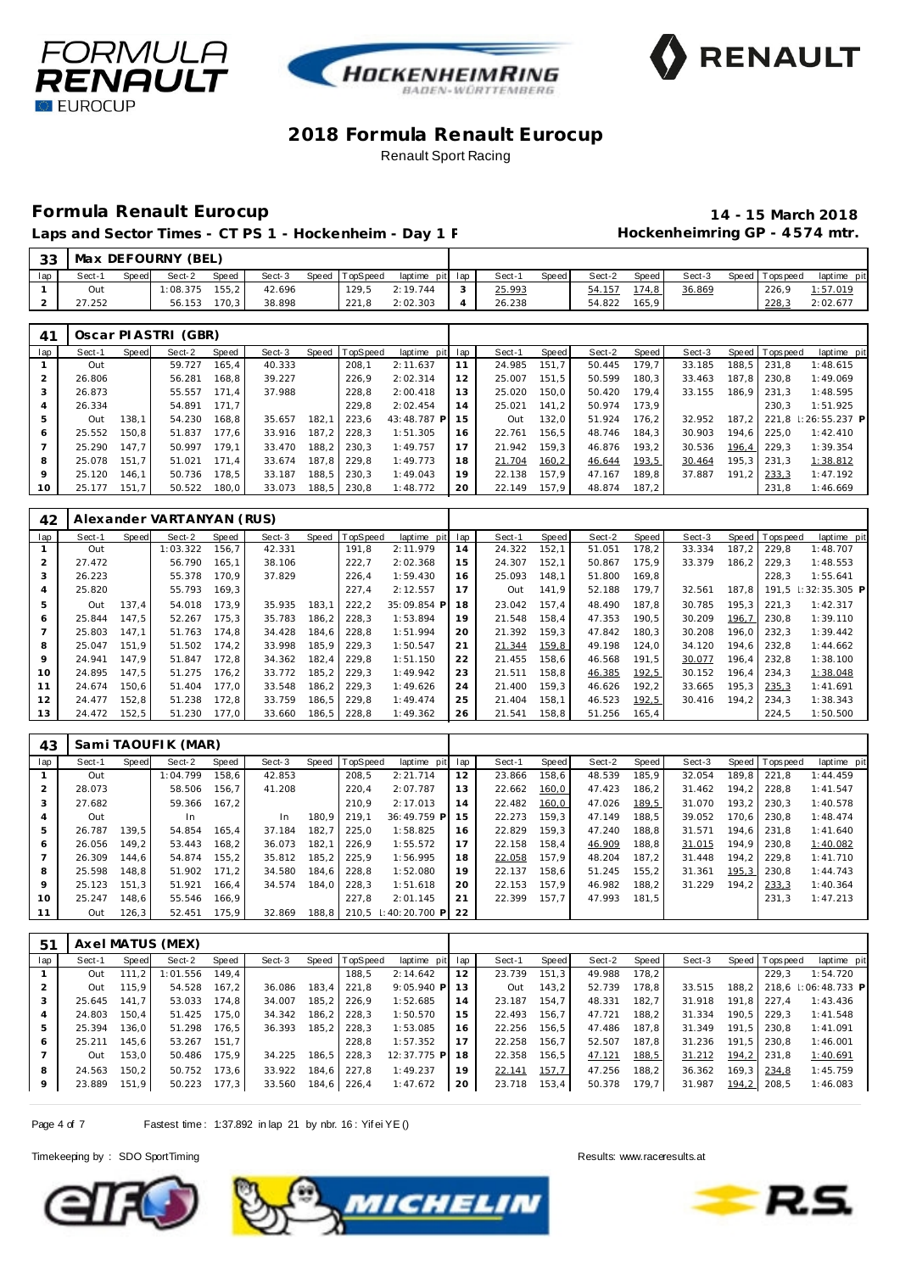





Laps and Sector Times - CT PS 1 - Hockenheim - Day 1 F **Manufall Session Hockenheimring GP** - 4574 mtr.

# **Formula Renault Eurocup 14 - 15 March 2018**

| -33 |        |       | Max DEFOURNY (BEL)  |       |        |       |          |                 |   |        |       |        |       |        |                 |             |
|-----|--------|-------|---------------------|-------|--------|-------|----------|-----------------|---|--------|-------|--------|-------|--------|-----------------|-------------|
| lap | Sect-1 | Speed | Sect-2              | Speed | Sect-3 | Speed | TopSpeed | laptime pit lap |   | Sect-1 | Speed | Sect-2 | Speed | Sect-3 | Speed Tops peed | laptime pit |
|     | Out    |       | 1:08.375            | 155.2 | 42.696 |       | 129.5    | 2:19.744        |   | 25.993 |       | 54.157 | 174,8 | 36.869 | 226,9           | 1:57.019    |
|     | 27.252 |       | 56.153              | 170.3 | 38.898 |       | 221.8    | 2:02.303        | 4 | 26.238 |       | 54.822 | 165.9 |        | 228,3           | 2:02.677    |
|     |        |       |                     |       |        |       |          |                 |   |        |       |        |       |        |                 |             |
| 41  |        |       | Oscar PIASTRI (GBR) |       |        |       |          |                 |   |        |       |        |       |        |                 |             |

|     |        |       | 00001 111001101 10011 |       |        |       |          |                 |    |        |       |        |       |        |       |                |                     |
|-----|--------|-------|-----------------------|-------|--------|-------|----------|-----------------|----|--------|-------|--------|-------|--------|-------|----------------|---------------------|
| lap | Sect-1 | Speed | Sect-2                | Speed | Sect-3 | Speed | TopSpeed | laptime pit lap |    | Sect-1 | Speed | Sect-2 | Speed | Sect-3 |       | Speed Topspeed | laptime pit         |
|     | Out    |       | 59.727                | 165.4 | 40.333 |       | 208.1    | 2:11.637        |    | 24.985 | 151.7 | 50.445 | 179.7 | 33.185 | 188.5 | 231.8          | 1:48.615            |
|     | 26.806 |       | 56.281                | 168.8 | 39.227 |       | 226.9    | 2:02.314        | 12 | 25.007 | 151.5 | 50.599 | 180.3 | 33.463 | 187.8 | 230.8          | 1:49.069            |
|     | 26.873 |       | 55.557                | 171.4 | 37.988 |       | 228,8    | 2:00.418        | 13 | 25.020 | 150.0 | 50.420 | 179.4 | 33.155 | 186.9 | 231.3          | 1:48.595            |
|     | 26.334 |       | 54.891                | 171.7 |        |       | 229.8    | 2:02.454        | 14 | 25.021 | 141.2 | 50.974 | 173.9 |        |       | 230.3          | 1:51.925            |
|     | Out    | 138.1 | 54.230                | 168.8 | 35.657 | 182.1 | 223.6    | 43:48.787 P     | 15 | Out    | 132.0 | 51.924 | 176.2 | 32.952 | 187.2 |                | 221.8 : 26:55.237 P |
| 6   | 25.552 | 150.8 | 51.837                | 177.6 | 33.916 | 187.2 | 228.3    | 1:51.305        | 16 | 22.761 | 156.5 | 48.746 | 184.3 | 30.903 | 194.6 | 225.0          | 1:42.410            |
|     | 25.290 | 147.7 | 50.997                | 179.1 | 33.470 | 188.2 | 230.3    | 1:49.757        | 17 | 21.942 | 159.3 | 46.876 | 193.2 | 30.536 | 196.4 | 229.3          | 1:39.354            |
| 8   | 25.078 | 151.7 | 51.021                | 171.4 | 33.674 | 187.8 | 229.8    | 1:49.773        | 18 | 21.704 | 160,2 | 46.644 | 193,5 | 30.464 | 195.3 | 231.3          | 1:38.812            |
|     | 25.120 | 146.1 | 50.736                | 178.5 | 33.187 | 188.5 | 230.3    | 1:49.043        | 19 | 22.138 | 157.9 | 47.167 | 189.8 | 37.887 | 191.2 | 233,3          | 1:47.192            |
| 10  | 25.177 | 151.7 | 50.522                | 180.0 | 33.073 | 188.5 | 230.8    | 1:48.772        | 20 | 22.149 | 157.9 | 48.874 | 187.2 |        |       | 231.8          | 1:46.669            |

| 42             |        |       | Alexander VARTANYAN (RUS) |       |        |       |          |             |     |        |       |        |       |        |       |                |                       |
|----------------|--------|-------|---------------------------|-------|--------|-------|----------|-------------|-----|--------|-------|--------|-------|--------|-------|----------------|-----------------------|
| lap            | Sect-1 | Speed | Sect-2                    | Speed | Sect-3 | Speed | TopSpeed | laptime pit | lap | Sect-1 | Speed | Sect-2 | Speed | Sect-3 |       | Speed Topspeed | laptime pit           |
|                | Out    |       | 1:03.322                  | 156.7 | 42.331 |       | 191,8    | 2:11.979    | 14  | 24.322 | 152,1 | 51.051 | 178.2 | 33.334 | 187.2 | 229.8          | 1:48.707              |
| $\overline{2}$ | 27.472 |       | 56.790                    | 165.1 | 38.106 |       | 222,7    | 2:02.368    | 15  | 24.307 | 152.1 | 50.867 | 175.9 | 33.379 | 186,2 | 229.3          | 1:48.553              |
| 3              | 26.223 |       | 55.378                    | 170.9 | 37.829 |       | 226,4    | 1:59.430    | 16  | 25.093 | 148.1 | 51.800 | 169.8 |        |       | 228.3          | 1:55.641              |
| 4              | 25.820 |       | 55.793                    | 169.3 |        |       | 227.4    | 2:12.557    | 17  | Out    | 141.9 | 52.188 | 179.7 | 32.561 | 187.8 | 191.5          | $\mid$ : 32: 35.305 P |
| 5              | Out    | 137.4 | 54.018                    | 173.9 | 35.935 | 183,1 | 222,2    | 35:09.854 P | 18  | 23.042 | 157.4 | 48.490 | 187.8 | 30.785 | 195.3 | 221.3          | 1:42.317              |
| 6              | 25.844 | 147.5 | 52.267                    | 175,3 | 35.783 | 186,2 | 228,3    | 1:53.894    | 19  | 21.548 | 158,4 | 47.353 | 190.5 | 30.209 | 196,7 | 230.8          | 1:39.110              |
|                | 25.803 | 147.1 | 51.763                    | 174.8 | 34.428 | 184.6 | 228.8    | 1:51.994    | 20  | 21.392 | 159.3 | 47.842 | 180.3 | 30.208 | 196.0 | 232.3          | 1:39.442              |
| 8              | 25.047 | 151.9 | 51.502                    | 174.2 | 33.998 | 185,9 | 229.3    | 1:50.547    | 21  | 21.344 | 159,8 | 49.198 | 124.0 | 34.120 | 194.6 | 232.8          | 1:44.662              |
| 9              | 24.941 | 147.9 | 51.847                    | 172.8 | 34.362 | 182.4 | 229.8    | 1:51.150    | 22  | 21.455 | 158.6 | 46.568 | 191.5 | 30.077 | 196.4 | 232.8          | 1:38.100              |
| 10             | 24.895 | 147.5 | 51.275                    | 176.2 | 33.772 | 185,2 | 229.3    | 1:49.942    | 23  | 21.511 | 158,8 | 46.385 | 192,5 | 30.152 | 196,4 | 234.3          | 1:38.048              |
| 11             | 24.674 | 150.6 | 51.404                    | 177.0 | 33.548 | 186.2 | 229.3    | 1:49.626    | 24  | 21.400 | 159.3 | 46.626 | 192.2 | 33.665 | 195.3 | 235,3          | 1:41.691              |
| 12             | 24.477 | 152,8 | 51.238                    | 172.8 | 33.759 | 186,5 | 229.8    | 1:49.474    | 25  | 21.404 | 158.1 | 46.523 | 192,5 | 30.416 | 194.2 | 234.3          | 1:38.343              |
| 13             | 24.472 | 152,5 | 51.230                    | 177.0 | 33.660 | 186,5 | 228,8    | 1:49.362    | 26  | 21.541 | 158,8 | 51.256 | 165.4 |        |       | 224.5          | 1:50.500              |

| 43  |        |       | Sami TAOUFIK (MAR) |       |        |       |                 |                      |     |        |       |        |       |        |       |                |             |
|-----|--------|-------|--------------------|-------|--------|-------|-----------------|----------------------|-----|--------|-------|--------|-------|--------|-------|----------------|-------------|
| lap | Sect-1 | Speed | Sect-2             | Speed | Sect-3 | Speed | <b>TopSpeed</b> | laptime pit          | lap | Sect-1 | Speed | Sect-2 | Speed | Sect-3 |       | Speed Topspeed | laptime pit |
|     | Out    |       | 1:04.799           | 158.6 | 42.853 |       | 208,5           | 2:21.714             | 12  | 23.866 | 158.6 | 48.539 | 185.9 | 32.054 | 189.8 | 221.8          | 1:44.459    |
|     | 28.073 |       | 58.506             | 156.7 | 41.208 |       | 220.4           | 2:07.787             | 13  | 22.662 | 160,0 | 47.423 | 186.2 | 31.462 | 194.2 | 228.8          | 1:41.547    |
|     | 27.682 |       | 59.366             | 167.2 |        |       | 210.9           | 2:17.013             | 14  | 22.482 | 160,0 | 47.026 | 189,5 | 31.070 | 193.2 | 230.3          | 1:40.578    |
|     | Out    |       | In                 |       | In     | 180.9 | 219.1           | 36:49.759 P          | 15  | 22.273 | 159.3 | 47.149 | 188.5 | 39.052 | 170.6 | 230.8          | 1:48.474    |
| 5   | 26.787 | 139.5 | 54.854             | 165.4 | 37.184 | 182.7 | 225.0           | 1:58.825             | 16  | 22.829 | 159.3 | 47.240 | 188.8 | 31.571 | 194.6 | 231.8          | 1:41.640    |
| 6   | 26.056 | 149.2 | 53.443             | 168.2 | 36.073 | 182.1 | 226.9           | 1:55.572             | 17  | 22.158 | 158.4 | 46.909 | 188.8 | 31.015 | 194.9 | 230.8          | 1:40.082    |
|     | 26.309 | 144.6 | 54.874             | 155.2 | 35.812 | 185.2 | 225.9           | 1:56.995             | 18  | 22.058 | 157.9 | 48.204 | 187.2 | 31.448 | 194.2 | 229.8          | 1:41.710    |
| 8   | 25.598 | 148.8 | 51.902             | 171.2 | 34.580 | 184.6 | 228.8           | 1:52.080             | 19  | 22.137 | 158.6 | 51.245 | 155.2 | 31.361 | 195.3 | 230.8          | 1:44.743    |
| 9   | 25.123 | 151.3 | 51.921             | 166.4 | 34.574 | 184.0 | 228.3           | 1:51.618             | 20  | 22.153 | 157.9 | 46.982 | 188.2 | 31.229 | 194.2 | 233,3          | 1:40.364    |
| 10  | 25.247 | 148.6 | 55.546             | 166.9 |        |       | 227.8           | 2:01.145             | 21  | 22.399 | 157.7 | 47.993 | 181.5 |        |       | 231.3          | 1:47.213    |
| 11  | Out    | 126,3 | 52.451             | 175.9 | 32.869 | 188.8 |                 | 210.5 : 40: 20.700 P | 22  |        |       |        |       |        |       |                |             |

| 51      |        |       | Axel MATUS (MEX) |       |        |        |                  |              |     |        |       |        |       |        |       |            |                     |
|---------|--------|-------|------------------|-------|--------|--------|------------------|--------------|-----|--------|-------|--------|-------|--------|-------|------------|---------------------|
| lap     | Sect-1 | Speed | Sect-2           | Speed | Sect-3 |        | Speed   TopSpeed | laptime pit  | lap | Sect-1 | Speed | Sect-2 | Speed | Sect-3 | Speed | T ops peed | laptime pit         |
|         | Out    | 111.2 | 1:01.556         | 149.4 |        |        | 188.5            | 2:14.642     | 12  | 23.739 | 151.3 | 49.988 | 178.2 |        |       | 229.3      | 1:54.720            |
|         | Out    | 115.9 | 54.528           | 167.2 | 36.086 | 183,4  | 221,8            | $9:05.940$ P | 13  | Out    | 143,2 | 52.739 | 178.8 | 33.515 | 188.2 |            | 218.6 : 06:48.733 P |
|         | 25.645 | 141.7 | 53.033           | 174.8 | 34.007 |        | 185,2 226,9      | 1:52.685     | 14  | 23.187 | 154.7 | 48.331 | 182.7 | 31.918 | 191.8 | 227.4      | 1:43.436            |
|         | 24.803 | 150.4 | 51.425           | 175.0 | 34.342 |        | 186.2 228.3      | 1:50.570     | 15  | 22.493 | 156.7 | 47.721 | 188.2 | 31.334 | 190.5 | 229.3      | 1:41.548            |
|         | 25.394 | 136.0 | 51.298           | 176.5 | 36.393 |        | 185,2 228,3      | 1:53.085     | 16  | 22.256 | 156.5 | 47.486 | 187.8 | 31.349 | 191.5 | 230.8      | 1:41.091            |
| 6       | 25.211 | 145.6 | 53.267 151,7     |       |        |        | 228.8            | 1:57.352     | 17  | 22.258 | 156.7 | 52.507 | 187.8 | 31.236 | 191.5 | 230.8      | 1:46.001            |
|         | Out    | 153.0 | 50.486           | 175.9 | 34.225 | 186, 5 | 228,3            | 12:37.775 P  | -18 | 22.358 | 156,5 | 47.121 | 188,5 | 31.212 | 194,2 | 231,8      | 1:40.691            |
| 8       | 24.563 | 150.2 | 50.752           | 173.6 | 33.922 |        | 184.6 227.8      | 1:49.237     | 19  | 22.141 | 157,7 | 47.256 | 188.2 | 36.362 | 169.3 | 234,8      | 1:45.759            |
| $\circ$ | 23.889 | 151,9 | 50.223           | 177,3 | 33.560 |        | 184,6 226,4      | 1:47.672     | 20  | 23.718 | 153,4 | 50.378 | 179,7 | 31.987 | 194,2 | 208,5      | 1:46.083            |

Page 4 of 7 Fastest time: 1:37.892 in lap 21 by nbr. 16: Yif ei YE ()





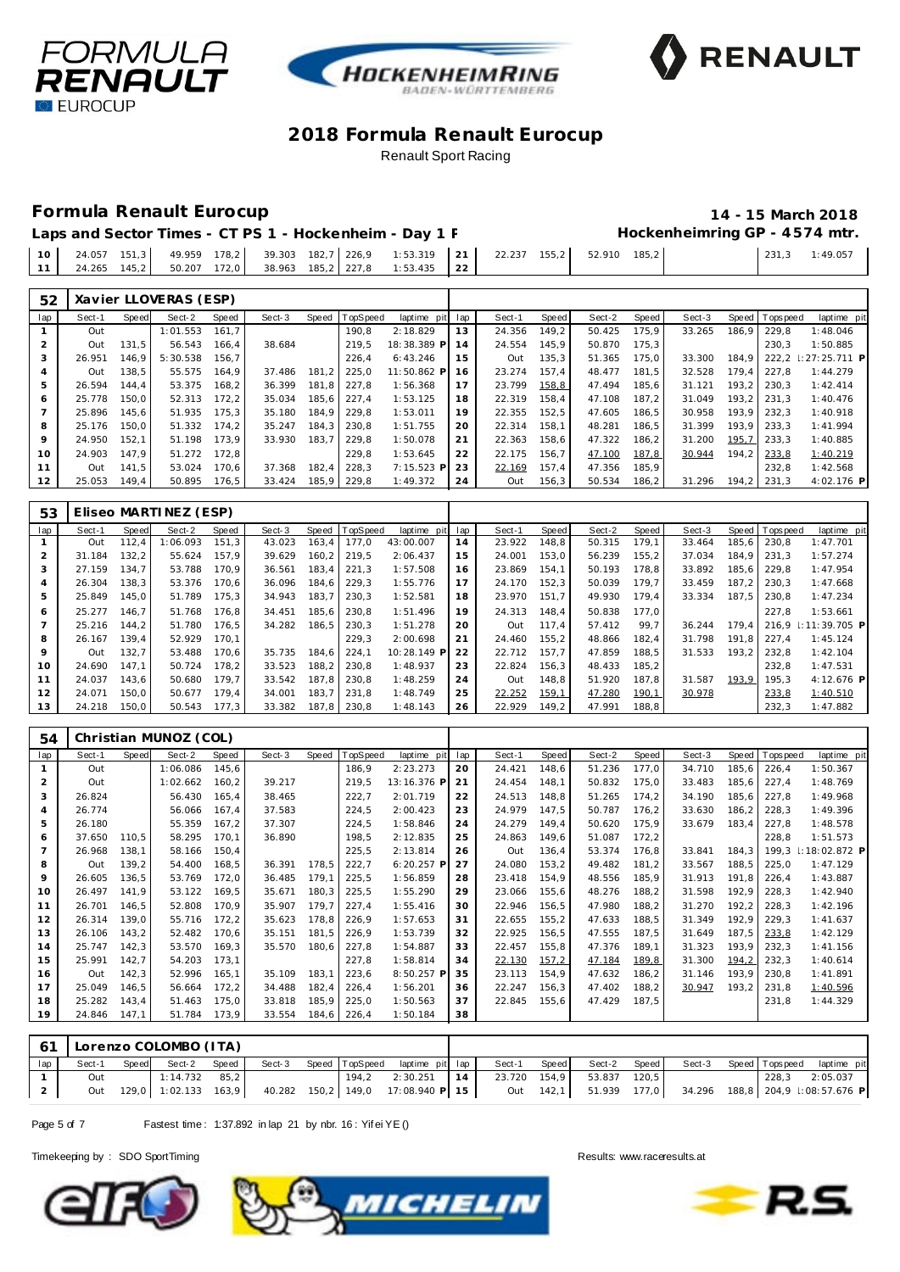





## **Formula Renault Eurocup 14 - 15 March 2018**

24.265 145,2 50.207 172,0 38.963 185,2 227,8 1:53.435 **22**

|  |  |  |  | Laps and Sector Times - CT PS 1 - Hockenheim - Day 1 F                                            |  |  | Hockenheimring GP - 4574 mtr. |                |
|--|--|--|--|---------------------------------------------------------------------------------------------------|--|--|-------------------------------|----------------|
|  |  |  |  | 10   24.057 151,3   49.959 178,2   39.303 182,7 226,9 1:53.319   21   22.237 155,2   52.910 185,2 |  |  |                               | 231,3 1:49.057 |
|  |  |  |  | $111$ 24.265 145.2 50.207 172.0 38.963 185.2 227.8 1:53.435 22                                    |  |  |                               |                |

| 52  |        |       | Xavier LLOVERAS (ESP) |        |        |       |          |             |     |        |       |        |       |        |       |           |                      |
|-----|--------|-------|-----------------------|--------|--------|-------|----------|-------------|-----|--------|-------|--------|-------|--------|-------|-----------|----------------------|
| lap | Sect-1 | Speed | Sect-2                | Speed  | Sect-3 | Speed | TopSpeed | laptime pit | lap | Sect-1 | Speed | Sect-2 | Speed | Sect-3 | Speed | Tops peed | laptime pit          |
|     | Out    |       | 1:01.553              | 161.7  |        |       | 190,8    | 2:18.829    | 13  | 24.356 | 149,2 | 50.425 | 175,9 | 33.265 | 186,9 | 229.8     | 1:48.046             |
|     | Out    | 131.5 | 56.543                | 166,4  | 38.684 |       | 219,5    | 18:38.389 P | 14  | 24.554 | 145.9 | 50.870 | 175,3 |        |       | 230.3     | 1:50.885             |
| 3   | 26.951 | 146.9 | 5:30.538              | 156.7  |        |       | 226.4    | 6:43.246    | 15  | Out    | 135,3 | 51.365 | 175,0 | 33.300 | 184.9 |           | 222.2 : 27: 25.711 P |
| 4   | Out    | 138.5 | 55.575                | 164.9  | 37.486 | 181.2 | 225.0    | 11:50.862 P | 16  | 23.274 | 157.4 | 48.477 | 181.5 | 32.528 | 179.4 | 227.8     | 1:44.279             |
| 5   | 26.594 | 144.4 | 53.375                | 168,2  | 36.399 | 181.8 | 227.8    | 1:56.368    | 17  | 23.799 | 158,8 | 47.494 | 185,6 | 31.121 | 193.2 | 230.3     | 1:42.414             |
| 6   | 25.778 | 150.0 | 52.313                | 172, 2 | 35.034 | 185,6 | 227,4    | 1:53.125    | 18  | 22.319 | 158,4 | 47.108 | 187,2 | 31.049 | 193.2 | 231.3     | 1:40.476             |
|     | 25.896 | 145.6 | 51.935                | 175,3  | 35.180 | 184.9 | 229.8    | 1:53.011    | 19  | 22.355 | 152.5 | 47.605 | 186.5 | 30.958 | 193.9 | 232.3     | 1:40.918             |
| 8   | 25.176 | 150.0 | 51.332                | 174,2  | 35.247 | 184.3 | 230.8    | 1:51.755    | 20  | 22.314 | 158.1 | 48.281 | 186,5 | 31.399 | 193.9 | 233.3     | 1:41.994             |
| 9   | 24.950 | 152,1 | 51.198                | 173,9  | 33.930 | 183.7 | 229,8    | 1:50.078    | 21  | 22.363 | 158,6 | 47.322 | 186,2 | 31.200 | 195,7 | 233,3     | 1:40.885             |
| 10  | 24.903 | 147.9 | 51.272                | 172.8  |        |       | 229.8    | 1:53.645    | 22  | 22.175 | 156.7 | 47.100 | 187,8 | 30.944 | 194.2 | 233,8     | 1:40.219             |
| 11  | Out    | 141.5 | 53.024                | 170.6  | 37.368 | 182,4 | 228.3    | 7:15.523 P  | 23  | 22.169 | 157,4 | 47.356 | 185,9 |        |       | 232.8     | 1:42.568             |
| 12  | 25.053 | 149,4 | 50.895                | 176,5  | 33.424 | 185,9 | 229,8    | 1:49.372    | 24  | Out    | 156,3 | 50.534 | 186,2 | 31.296 | 194.2 | 231,3     | 4:02.176 P           |

| 53             |        |       | Eliseo MARTINEZ (ESP) |       |        |       |                 |             |     |        |       |        |       |        |       |                |                     |
|----------------|--------|-------|-----------------------|-------|--------|-------|-----------------|-------------|-----|--------|-------|--------|-------|--------|-------|----------------|---------------------|
| lap            | Sect-1 | Speed | Sect-2                | Speed | Sect-3 | Speed | <b>TopSpeed</b> | laptime pit | lap | Sect-1 | Speed | Sect-2 | Speed | Sect-3 |       | Speed Topspeed | laptime pit         |
|                | Out    | 112,4 | 1:06.093              | 151,3 | 43.023 | 163,4 | 177,0           | 43:00.007   | 14  | 23.922 | 148,8 | 50.315 | 179,1 | 33.464 | 185,6 | 230.8          | 1:47.701            |
| $\overline{2}$ | 31.184 | 132.2 | 55.624                | 157.9 | 39.629 | 160.2 | 219.5           | 2:06.437    | 15  | 24.001 | 153.0 | 56.239 | 155,2 | 37.034 | 184.9 | 231.3          | 1:57.274            |
| 3              | 27.159 | 134.7 | 53.788                | 170.9 | 36.561 | 183,4 | 221.3           | 1:57.508    | 16  | 23.869 | 154.1 | 50.193 | 178.8 | 33.892 | 185.6 | 229.8          | 1:47.954            |
| $\overline{A}$ | 26.304 | 138,3 | 53.376                | 170,6 | 36.096 | 184,6 | 229,3           | 1:55.776    | 17  | 24.170 | 152,3 | 50.039 | 179.7 | 33.459 | 187.2 | 230.3          | 1:47.668            |
| 5              | 25.849 | 145.0 | 51.789                | 175,3 | 34.943 | 183,7 | 230,3           | 1:52.581    | 18  | 23.970 | 151.7 | 49.930 | 179.4 | 33.334 | 187.5 | 230.8          | 1:47.234            |
| 6              | 25.277 | 146.7 | 51.768                | 176.8 | 34.451 | 185.6 | 230.8           | 1:51.496    | 19  | 24.313 | 148.4 | 50.838 | 177.0 |        |       | 227.8          | 1:53.661            |
|                | 25.216 | 144.2 | 51.780                | 176,5 | 34.282 | 186,5 | 230,3           | 1:51.278    | 20  | Out    | 117.4 | 57.412 | 99,7  | 36.244 | 179.4 |                | 216.9 : 11:39.705 P |
| 8              | 26.167 | 139.4 | 52.929                | 170.1 |        |       | 229,3           | 2:00.698    | 21  | 24.460 | 155.2 | 48.866 | 182,4 | 31.798 | 191.8 | 227.4          | 1:45.124            |
| 9              | Out    | 132.7 | 53.488                | 170.6 | 35.735 | 184.6 | 224,1           | 10:28.149 P | 22  | 22.712 | 157.7 | 47.859 | 188.5 | 31.533 | 193.2 | 232.8          | 1:42.104            |
| 10             | 24.690 | 147.1 | 50.724                | 178,2 | 33.523 | 188,2 | 230,8           | 1:48.937    | 23  | 22.824 | 156,3 | 48.433 | 185,2 |        |       | 232.8          | 1:47.531            |
| 11             | 24.037 | 143.6 | 50.680                | 179.7 | 33.542 | 187.8 | 230.8           | 1:48.259    | 24  | Out    | 148.8 | 51.920 | 187.8 | 31.587 | 193,9 | 195.3          | 4:12.676 P          |
| 12             | 24.071 | 150,0 | 50.677                | 179,4 | 34.001 | 183,7 | 231,8           | 1:48.749    | 25  | 22.252 | 159,1 | 47.280 | 190,1 | 30.978 |       | 233,8          | 1:40.510            |
| 13             | 24.218 | 150.0 | 50.543                | 177,3 | 33.382 | 187.8 | 230,8           | 1:48.143    | 26  | 22.929 | 149.2 | 47.991 | 188,8 |        |       | 232,3          | 1:47.882            |

| 54             |        |       | Christian MUNOZ (COL) |       |        |       |          |              |     |        |       |        |       |        |        |                |               |
|----------------|--------|-------|-----------------------|-------|--------|-------|----------|--------------|-----|--------|-------|--------|-------|--------|--------|----------------|---------------|
| lap            | Sect-1 | Speed | Sect-2                | Speed | Sect-3 | Speed | TopSpeed | laptime pit  | lap | Sect-1 | Speed | Sect-2 | Speed | Sect-3 |        | Speed Topspeed | laptime pit   |
|                | Out    |       | 1:06.086              | 145,6 |        |       | 186,9    | 2:23.273     | 20  | 24.421 | 148,6 | 51.236 | 177,0 | 34.710 | 185,6  | 226,4          | 1:50.367      |
| $\overline{2}$ | Out    |       | 1:02.662              | 160,2 | 39.217 |       | 219,5    | 13:16.376 P  | 21  | 24.454 | 148,1 | 50.832 | 175,0 | 33.483 | 185,6  | 227,4          | 1:48.769      |
| 3              | 26.824 |       | 56.430                | 165,4 | 38.465 |       | 222,7    | 2:01.719     | 22  | 24.513 | 148,8 | 51.265 | 174,2 | 34.190 | 185,6  | 227,8          | 1:49.968      |
| $\overline{A}$ | 26.774 |       | 56.066                | 167,4 | 37.583 |       | 224,5    | 2:00.423     | 23  | 24.979 | 147,5 | 50.787 | 176,2 | 33.630 | 186, 2 | 228,3          | 1:49.396      |
| 5              | 26.180 |       | 55.359                | 167,2 | 37.307 |       | 224,5    | 1:58.846     | 24  | 24.279 | 149,4 | 50.620 | 175,9 | 33.679 | 183,4  | 227,8          | 1:48.578      |
| 6              | 37.650 | 110,5 | 58.295                | 170,1 | 36.890 |       | 198,5    | 2:12.835     | 25  | 24.863 | 149,6 | 51.087 | 172,2 |        |        | 228,8          | 1:51.573      |
|                | 26.968 | 138,1 | 58.166                | 150,4 |        |       | 225,5    | 2:13.814     | 26  | Out    | 136,4 | 53.374 | 176,8 | 33.841 | 184, 3 | 199,3          | 1:18:02.872 P |
| 8              | Out    | 139,2 | 54.400                | 168,5 | 36.391 | 178,5 | 222,7    | $6:20.257$ P | 27  | 24.080 | 153,2 | 49.482 | 181,2 | 33.567 | 188,5  | 225,0          | 1:47.129      |
| 9              | 26.605 | 136,5 | 53.769                | 172,0 | 36.485 | 179,1 | 225,5    | 1:56.859     | 28  | 23.418 | 154,9 | 48.556 | 185,9 | 31.913 | 191,8  | 226,4          | 1:43.887      |
| 10             | 26.497 | 141,9 | 53.122                | 169,5 | 35.671 | 180,3 | 225,5    | 1:55.290     | 29  | 23.066 | 155,6 | 48.276 | 188,2 | 31.598 | 192,9  | 228,3          | 1:42.940      |
| 11             | 26.701 | 146,5 | 52.808                | 170.9 | 35.907 | 179,7 | 227,4    | 1:55.416     | 30  | 22.946 | 156,5 | 47.980 | 188,2 | 31.270 | 192,2  | 228,3          | 1:42.196      |
| 12             | 26.314 | 139,0 | 55.716                | 172,2 | 35.623 | 178,8 | 226,9    | 1:57.653     | 31  | 22.655 | 155,2 | 47.633 | 188,5 | 31.349 | 192,9  | 229,3          | 1:41.637      |
| 13             | 26.106 | 143,2 | 52.482                | 170,6 | 35.151 | 181,5 | 226,9    | 1:53.739     | 32  | 22.925 | 156,5 | 47.555 | 187,5 | 31.649 | 187,5  | 233,8          | 1:42.129      |
| 14             | 25.747 | 142,3 | 53.570                | 169,3 | 35.570 | 180,6 | 227,8    | 1:54.887     | 33  | 22.457 | 155,8 | 47.376 | 189,1 | 31.323 | 193,9  | 232,3          | 1:41.156      |
| 15             | 25.991 | 142,7 | 54.203                | 173,1 |        |       | 227,8    | 1:58.814     | 34  | 22.130 | 157,2 | 47.184 | 189,8 | 31.300 | 194,2  | 232,3          | 1:40.614      |
| 16             | Out    | 142,3 | 52.996                | 165,1 | 35.109 | 183,1 | 223,6    | 8:50.257 P   | 35  | 23.113 | 154,9 | 47.632 | 186,2 | 31.146 | 193,9  | 230,8          | 1:41.891      |
| 17             | 25.049 | 146,5 | 56.664                | 172,2 | 34.488 | 182,4 | 226,4    | 1:56.201     | 36  | 22.247 | 156,3 | 47.402 | 188,2 | 30.947 | 193,2  | 231,8          | 1:40.596      |
| 18             | 25.282 | 143,4 | 51.463                | 175,0 | 33.818 | 185,9 | 225,0    | 1:50.563     | 37  | 22.845 | 155,6 | 47.429 | 187,5 |        |        | 231,8          | 1:44.329      |
| 19             | 24.846 | 147,1 | 51.784                | 173,9 | 33.554 | 184,6 | 226,4    | 1:50.184     | 38  |        |       |        |       |        |        |                |               |

| 61  |        |       | Lorenzo COLOMBO (ITA) |       |        |  |                                                                                           |    |        |       |                           |                       |       |             |  |
|-----|--------|-------|-----------------------|-------|--------|--|-------------------------------------------------------------------------------------------|----|--------|-------|---------------------------|-----------------------|-------|-------------|--|
| lap | Sect-1 | Speed | Sect-2                | Speed | Sect-3 |  | Speed TopSpeed laptime pit lap                                                            |    | Sect-1 | Speed | Sect-2 Speed              | Sect-3 Speed Topspeed |       | laptime pit |  |
|     | Out    |       | $1:14.732$ 85,2       |       |        |  | 194,2 2:30.251                                                                            | 14 |        |       | 23.720 154,9 53.837 120,5 |                       | 228.3 | 2:05.037    |  |
|     | Out    |       | 129,0 1:02.133 163,9  |       |        |  | 40.282 150,2 149,0 17:08.940 P 15 0ut 142,1 51.939 177,0 34.296 188,8 204,9 1:08:57.676 P |    |        |       |                           |                       |       |             |  |

Page 5 of 7 Fastest time: 1:37.892 in lap 21 by nbr. 16: Yif ei YE ()





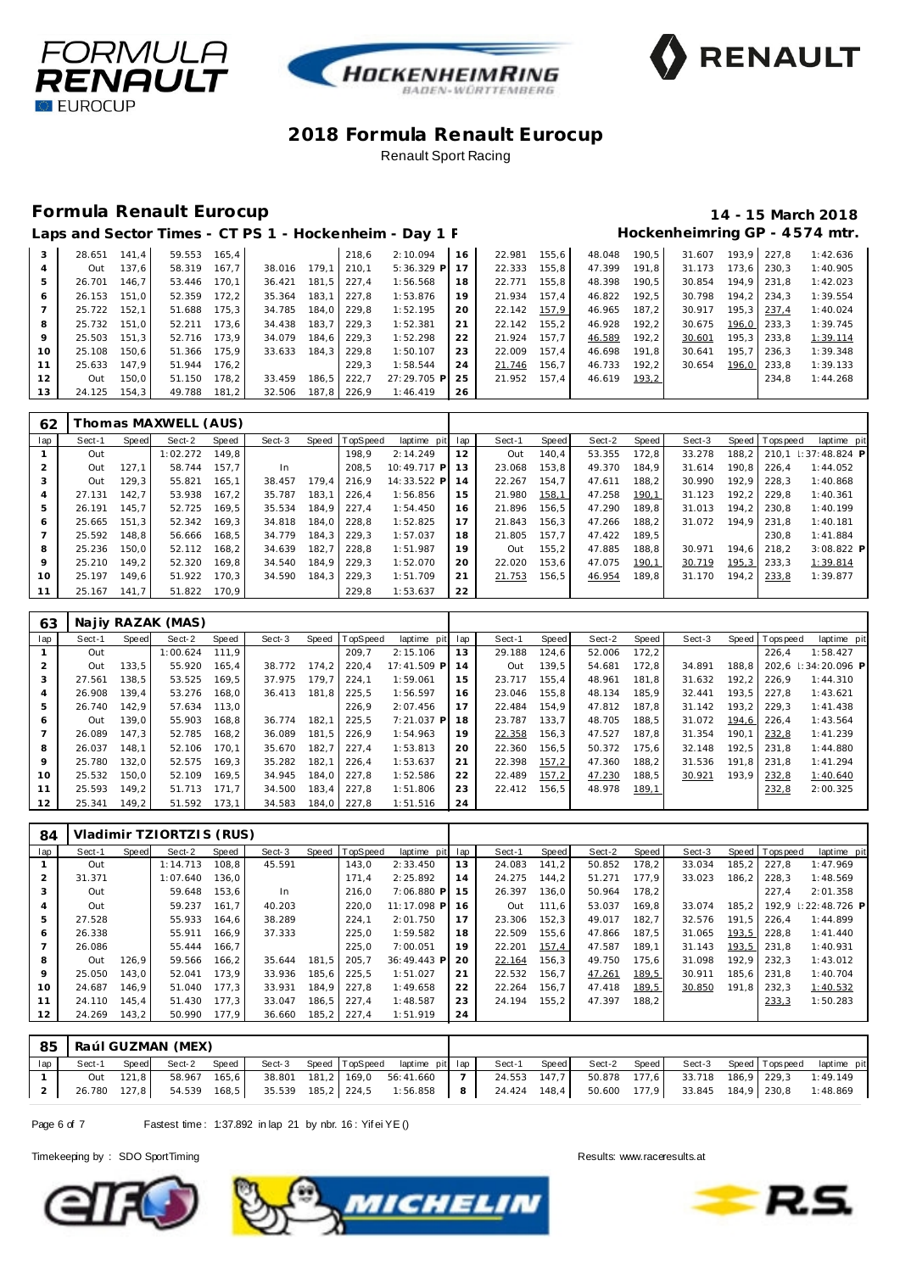





### **Formula Renault Eurocup 14 - 15 March 2018**

# Laps and Sector Times - CT PS 1 - Hockenheim - Day 1 F **Billion Hockenheimring GP** - 4574 mtr.

| 3  | 28.651 | 141.4 | 59.553 | 165.4 |        |       | 218.6       | 2:10.094     | 16 | 22.981 | 155.6 | 48.048 | 190.5 | 31.607 |       | 193.9 227.8 | 1:42.636 |
|----|--------|-------|--------|-------|--------|-------|-------------|--------------|----|--------|-------|--------|-------|--------|-------|-------------|----------|
|    | Out    | 137.6 | 58.319 | 167.7 | 38.016 | 179.1 | 210.1       | $5:36.329$ P | 17 | 22.333 | 155,8 | 47.399 | 191.8 | 31.173 | 173.6 | 230.3       | 1:40.905 |
| 5  | 26.701 | 146.7 | 53.446 | 170.1 | 36.421 | 181.5 | 227.4       | 1:56.568     | 18 | 22.771 | 155,8 | 48.398 | 190.5 | 30.854 |       | 194.9 231.8 | 1:42.023 |
| 6  | 26.153 | 151.0 | 52.359 | 172.2 | 35.364 | 183.1 | 227.8       | 1:53.876     | 19 | 21.934 | 157.4 | 46.822 | 192.5 | 30.798 | 194.2 | 234.3       | 1:39.554 |
|    | 25.722 | 152.1 | 51.688 | 175.3 | 34.785 | 184.0 | 229.8       | 1:52.195     | 20 | 22.142 | 157,9 | 46.965 | 187.2 | 30.917 | 195.3 | 237.4       | 1:40.024 |
| 8  | 25.732 | 151.0 | 52.211 | 173.6 | 34.438 | 183.7 | 229.3       | 1:52.381     | 21 | 22.142 | 155.2 | 46.928 | 192.2 | 30.675 | 196,0 | 233.3       | 1:39.745 |
| 9  | 25.503 | 151.3 | 52.716 | 173.9 | 34.079 | 184.6 | 229.3       | 1:52.298     | 22 | 21.924 | 157.7 | 46.589 | 192.2 | 30.601 | 195.3 | 233.8       | 1:39.114 |
| 10 | 25.108 | 150.6 | 51.366 | 175.9 | 33.633 | 184.3 | 229.8       | 1:50.107     | 23 | 22.009 | 157.4 | 46.698 | 191.8 | 30.641 | 195.7 | 236.3       | 1:39.348 |
| 11 | 25.633 | 147.9 | 51.944 | 176.2 |        |       | 229.3       | 1:58.544     | 24 | 21.746 | 156.7 | 46.733 | 192.2 | 30.654 | 196.0 | 233.8       | 1:39.133 |
| 12 | Out    | 150.0 | 51.150 | 178,2 | 33.459 | 186.5 | 222.7       | 27:29.705 P  | 25 | 21.952 | 157.4 | 46.619 | 193,2 |        |       | 234.8       | 1:44.268 |
| 13 | 24.125 | 154.3 | 49.788 | 181,2 | 32.506 |       | 187,8 226,9 | 1:46.419     | 26 |        |       |        |       |        |       |             |          |

| 62  | Thomas MAXWELL (AUS) |       |          |       |        |       |                |                |         |        |       |        |        |        |       |                 |                   |
|-----|----------------------|-------|----------|-------|--------|-------|----------------|----------------|---------|--------|-------|--------|--------|--------|-------|-----------------|-------------------|
| lap | Sect-1               | Speed | Sect-2   | Speed | Sect-3 |       | Speed TopSpeed | laptime        | pit lap | Sect-1 | Speed | Sect-2 | Speed  | Sect-3 |       | Speed Tops peed | laptime pit       |
|     | Out                  |       | 1:02.272 | 149.8 |        |       | 198.9          | 2:14.249       | 12      | Out    | 140.4 | 53.355 | 172.8  | 33.278 | 188.2 | 210.1           | $\pm 37:48.824$ P |
| 2   | Out                  | 127.1 | 58.744   | 157.7 | In.    |       | 208,5          | 10:49.717 P 13 |         | 23.068 | 153,8 | 49.370 | 184.9  | 31.614 | 190.8 | 226.4           | 1:44.052          |
| 3   | Out                  | 129.3 | 55.821   | 165.1 | 38.457 | 179.4 | 216.9          | 14:33.522 P 14 |         | 22.267 | 154.7 | 47.611 | 188.2  | 30.990 | 192.9 | 228.3           | 1:40.868          |
| 4   | 27.131               | 142.7 | 53.938   | 167.2 | 35.787 | 183.1 | 226.4          | 1:56.856       | 15      | 21.980 | 158,1 | 47.258 | 190,1  | 31.123 | 192.2 | 229.8           | 1:40.361          |
| 5   | 26.191               | 145.7 | 52.725   | 169,5 | 35.534 | 184.9 | 227.4          | 1:54.450       | 16      | 21.896 | 156.5 | 47.290 | 189.8  | 31.013 | 194.2 | 230.8           | 1:40.199          |
| 6   | 25.665               | 151.3 | 52.342   | 169,3 | 34.818 | 184.0 | 228.8          | 1:52.825       | 17      | 21.843 | 156.3 | 47.266 | 188.2  | 31.072 | 194.9 | 231.8           | 1:40.181          |
|     | 25.592               | 148.8 | 56.666   | 168,5 | 34.779 | 184.3 | 229.3          | 1:57.037       | 18      | 21.805 | 157.7 | 47.422 | 189,5  |        |       | 230.8           | 1:41.884          |
| 8   | 25.236               | 150.0 | 52.112   | 168.2 | 34.639 | 182.7 | 228.8          | 1:51.987       | 19      | Out    | 155.2 | 47.885 | 188.8  | 30.971 | 194.6 | 218.2           | 3:08.822 P        |
| 9   | 25.210               | 149.2 | 52.320   | 169.8 | 34.540 | 184.9 | 229.3          | 1:52.070       | 20      | 22.020 | 153.6 | 47.075 | 190,1  | 30.719 | 195,3 | 233.3           | 1:39.814          |
| 10  | 25.197               | 149.6 | 51.922   | 170,3 | 34.590 | 184,3 | 229,3          | 1:51.709       | 21      | 21.753 | 156,5 | 46.954 | 189, 8 | 31.170 | 194.2 | 233,8           | 1:39.877          |
|     | 25.167               | 141.7 | 51.822   | 170.9 |        |       | 229.8          | 1:53.637       | 22      |        |       |        |        |        |       |                 |                   |

| 63  | Najiy RAZAK (MAS) |       |              |       |        |       |             |                 |     |        |       |        |       |        |       |                |                      |
|-----|-------------------|-------|--------------|-------|--------|-------|-------------|-----------------|-----|--------|-------|--------|-------|--------|-------|----------------|----------------------|
| lap | Sect-1            | Speed | Sect-2       | Speed | Sect-3 | Speed | TopSpeed    | laptime<br>pitl | lap | Sect-1 | Speed | Sect-2 | Speed | Sect-3 |       | Speed Topspeed | laptime pit          |
|     | Out               |       | 1:00.624     | 111.9 |        |       | 209.7       | 2:15.106        | 13  | 29.188 | 124.6 | 52.006 | 172.2 |        |       | 226.4          | 1:58.427             |
| 2   | Out               | 133.5 | 55.920       | 165.4 | 38.772 | 174.2 | 220.4       | 17:41.509 P     | 14  | Out    | 139.5 | 54.681 | 172.8 | 34.891 | 188.8 |                | 202.6 : 34: 20.096 P |
| 3   | 27.561            | 138.5 | 53.525       | 169.5 | 37.975 | 179.7 | 224.1       | 1:59.061        | 15  | 23.717 | 155.4 | 48.961 | 181.8 | 31.632 | 192.2 | 226.9          | 1:44.310             |
| 4   | 26.908            | 139.4 | 53.276       | 168.0 | 36.413 | 181,8 | 225.5       | 1:56.597        | 16  | 23.046 | 155.8 | 48.134 | 185.9 | 32.441 | 193.5 | 227.8          | 1:43.621             |
| 5   | 26.740            | 142.9 | 57.634 113.0 |       |        |       | 226.9       | 2:07.456        | 17  | 22.484 | 154.9 | 47.812 | 187.8 | 31.142 | 193.2 | 229.3          | 1:41.438             |
| 6   | Out               | 139.0 | 55.903       | 168.8 | 36.774 | 182.1 | 225.5       | 7:21.037 PI     | 18  | 23.787 | 133.7 | 48.705 | 188.5 | 31.072 | 194.6 | 226.4          | 1:43.564             |
|     | 26.089            | 147.3 | 52.785       | 168,2 | 36.089 | 181,5 | 226,9       | 1:54.963        | 19  | 22.358 | 156,3 | 47.527 | 187,8 | 31.354 | 190.1 | 232,8          | 1:41.239             |
| 8   | 26.037            | 148.1 | 52.106       | 170.1 | 35.670 | 182.7 | 227.4       | 1:53.813        | 20  | 22.360 | 156.5 | 50.372 | 175.6 | 32.148 | 192.5 | 231.8          | 1:44.880             |
| 9   | 25.780            | 132.0 | 52.575       | 169.3 | 35.282 | 182.1 | 226.4       | 1:53.637        | 21  | 22.398 | 157,2 | 47.360 | 188.2 | 31.536 | 191.8 | 231.8          | 1:41.294             |
| 10  | 25.532            | 150.0 | 52.109       | 169.5 | 34.945 |       | 184.0 227.8 | 1:52.586        | 22  | 22.489 | 157,2 | 47.230 | 188.5 | 30.921 | 193.9 | 232,8          | 1:40.640             |
| 11  | 25.593            | 149.2 | 51.713       | 171.7 | 34.500 |       | 183.4 227.8 | 1:51.806        | 23  | 22.412 | 156,5 | 48.978 | 189,1 |        |       | 232,8          | 2:00.325             |
| 12  | 25.341            | 149.2 | 51.592       | 173.1 | 34.583 | 184.0 | 227.8       | 1:51.516        | 24  |        |       |        |       |        |       |                |                      |

| 84  |        |       | Vladimir TZIORTZIS (RUS) |       |        |       |          |             |     |        |              |        |       |        |       |                 |                   |
|-----|--------|-------|--------------------------|-------|--------|-------|----------|-------------|-----|--------|--------------|--------|-------|--------|-------|-----------------|-------------------|
| lap | Sect-1 | Speed | Sect-2                   | Speed | Sect-3 | Speed | TopSpeed | laptime pit | lap | Sect-1 | <b>Speed</b> | Sect-2 | Speed | Sect-3 |       | Speed Tops peed | laptime pit       |
|     | Out    |       | 1:14.713                 | 108,8 | 45.591 |       | 143,0    | 2:33.450    | 13  | 24.083 | 141.2        | 50.852 | 178,2 | 33.034 | 185,2 | 227.8           | 1:47.969          |
| 2   | 31.371 |       | 1:07.640                 | 136.0 |        |       | 171.4    | 2:25.892    | 14  | 24.275 | 144.2        | 51.271 | 177.9 | 33.023 | 186.2 | 228.3           | 1:48.569          |
| 3   | Out    |       | 59.648                   | 153,6 | In     |       | 216,0    | 7:06.880 P  | 15  | 26.397 | 136,0        | 50.964 | 178,2 |        |       | 227.4           | 2:01.358          |
| 4   | Out    |       | 59.237                   | 161.7 | 40.203 |       | 220.0    | 11:17.098 P | 16  | Out    | 111.6        | 53.037 | 169.8 | 33.074 | 185.2 | 192.9           | $\pm 22:48.726$ P |
| 5   | 27.528 |       | 55.933                   | 164.6 | 38.289 |       | 224.1    | 2:01.750    | 17  | 23.306 | 152,3        | 49.017 | 182,7 | 32.576 | 191.5 | 226.4           | 1:44.899          |
| 6   | 26.338 |       | 55.911                   | 166.9 | 37.333 |       | 225,0    | 1:59.582    | 18  | 22.509 | 155.6        | 47.866 | 187.5 | 31.065 | 193,5 | 228.8           | 1: 41.440         |
| 7   | 26.086 |       | 55.444                   | 166.7 |        |       | 225.0    | 7:00.051    | 19  | 22.201 | 157,4        | 47.587 | 189.1 | 31.143 | 193,5 | 231.8           | 1:40.931          |
| 8   | Out    | 126.9 | 59.566                   | 166,2 | 35.644 | 181.5 | 205.7    | 36:49.443 P | 20  | 22.164 | 156,3        | 49.750 | 175.6 | 31.098 | 192.9 | 232.3           | 1:43.012          |
| 9   | 25.050 | 143.0 | 52.041                   | 173.9 | 33.936 | 185.6 | 225.5    | 1:51.027    | 21  | 22.532 | 156.7        | 47.261 | 189,5 | 30.911 | 185.6 | 231.8           | 1:40.704          |
| 10  | 24.687 | 146.9 | 51.040                   | 177.3 | 33.931 | 184,9 | 227.8    | 1:49.658    | 22  | 22.264 | 156.7        | 47.418 | 189,5 | 30.850 | 191.8 | 232.3           | 1:40.532          |
| 11  | 24.110 | 145.4 | 51.430                   | 177.3 | 33.047 | 186,5 | 227.4    | 1:48.587    | 23  | 24.194 | 155.2        | 47.397 | 188.2 |        |       | 233,3           | 1:50.283          |
| 12  | 24.269 | 143,2 | 50.990                   | 177.9 | 36.660 | 185,2 | 227,4    | 1:51.919    | 24  |        |              |        |       |        |       |                 |                   |

| 85  |        |           | l Raúl GUZMAN (MEX) |       |  |                                                                                                      |                |              |       |              |                                               |                       |             |
|-----|--------|-----------|---------------------|-------|--|------------------------------------------------------------------------------------------------------|----------------|--------------|-------|--------------|-----------------------------------------------|-----------------------|-------------|
| lap | Sect-1 | Speed     | Sect-2              | Speed |  | Sect-3 Speed TopSpeed laptime pit lap                                                                |                | Sect-1       | Speed | Sect-2 Speed |                                               | Sect-3 Speed Topspeed | laptime pit |
|     |        | Out 121.8 | 58.967 165,6        |       |  | 38.801 181,2 169,0 56:41.660                                                                         | $\overline{7}$ | 24.553 147.7 |       |              | 50.878  177,6  33.718  186,9  229,3  1:49.149 |                       |             |
|     |        |           |                     |       |  | 26.780 127,8 54.539 168,5 35.539 185,2 224,5 1:56.858 8 24.424 148,4 50.600 177,9 33.845 184,9 230,8 |                |              |       |              |                                               |                       | 1:48.869    |

Page 6 of 7 Fastest time: 1:37.892 in lap 21 by nbr. 16: Yif ei YE ()